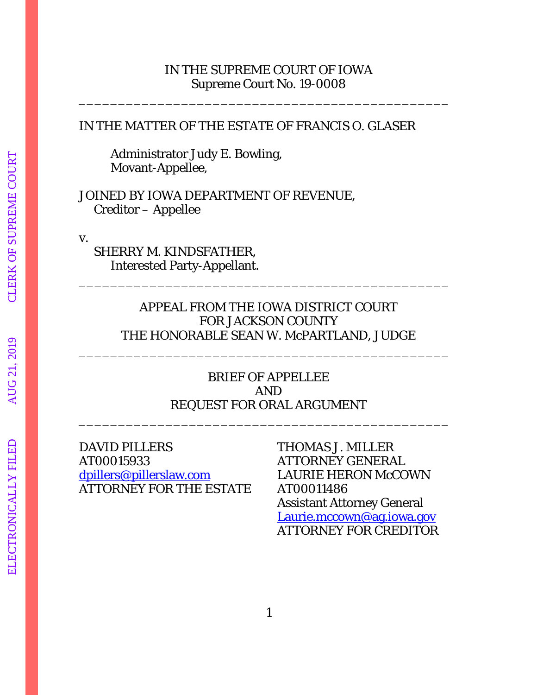### IN THE SUPREME COURT OF IOWA Supreme Court No. 19-0008

\_\_\_\_\_\_\_\_\_\_\_\_\_\_\_\_\_\_\_\_\_\_\_\_\_\_\_\_\_\_\_\_\_\_\_\_\_\_\_\_\_\_\_\_\_\_\_

#### IN THE MATTER OF THE ESTATE OF FRANCIS O. GLASER

Administrator Judy E. Bowling, Movant-Appellee,

JOINED BY IOWA DEPARTMENT OF REVENUE, Creditor – Appellee

v.

 SHERRY M. KINDSFATHER, Interested Party-Appellant.

# APPEAL FROM THE IOWA DISTRICT COURT FOR JACKSON COUNTY THE HONORABLE SEAN W. McPARTLAND, JUDGE

\_\_\_\_\_\_\_\_\_\_\_\_\_\_\_\_\_\_\_\_\_\_\_\_\_\_\_\_\_\_\_\_\_\_\_\_\_\_\_\_\_\_\_\_\_\_\_

\_\_\_\_\_\_\_\_\_\_\_\_\_\_\_\_\_\_\_\_\_\_\_\_\_\_\_\_\_\_\_\_\_\_\_\_\_\_\_\_\_\_\_\_\_\_\_

# BRIEF OF APPELLEE AND REQUEST FOR ORAL ARGUMENT \_\_\_\_\_\_\_\_\_\_\_\_\_\_\_\_\_\_\_\_\_\_\_\_\_\_\_\_\_\_\_\_\_\_\_\_\_\_\_\_\_\_\_\_\_\_\_

# DAVID PILLERS THOMAS J. MILLER AT00015933 ATTORNEY GENERAL dpillers@pillerslaw.com LAURIE HERON McCOWN ATTORNEY FOR THE ESTATE AT00011486

 Assistant Attorney General Laurie.mccown@ag.iowa.gov ATTORNEY FOR CREDITOR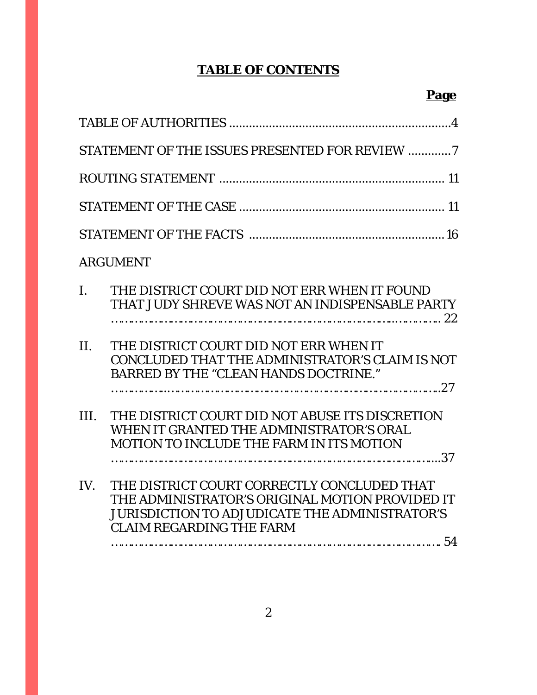# **TABLE OF CONTENTS**

|                | <b>ARGUMENT</b>                                                                                                                                                                            |
|----------------|--------------------------------------------------------------------------------------------------------------------------------------------------------------------------------------------|
| $\mathbf{I}$ . | THE DISTRICT COURT DID NOT ERR WHEN IT FOUND<br>THAT JUDY SHREVE WAS NOT AN INDISPENSABLE PARTY                                                                                            |
| II.            | THE DISTRICT COURT DID NOT ERR WHEN IT<br>CONCLUDED THAT THE ADMINISTRATOR'S CLAIM IS NOT<br><b>BARRED BY THE "CLEAN HANDS DOCTRINE."</b>                                                  |
| III.           | THE DISTRICT COURT DID NOT ABUSE ITS DISCRETION<br>WHEN IT GRANTED THE ADMINISTRATOR'S ORAL<br><b>MOTION TO INCLUDE THE FARM IN ITS MOTION</b>                                             |
| IV.            | THE DISTRICT COURT CORRECTLY CONCLUDED THAT<br>THE ADMINISTRATOR'S ORIGINAL MOTION PROVIDED IT<br><b>JURISDICTION TO ADJUDICATE THE ADMINISTRATOR'S</b><br><b>CLAIM REGARDING THE FARM</b> |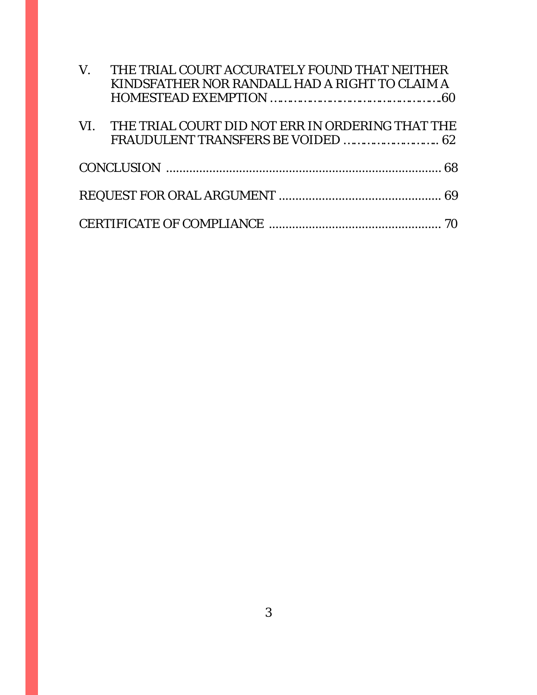| $V_{\cdot}$ | THE TRIAL COURT ACCURATELY FOUND THAT NEITHER    |
|-------------|--------------------------------------------------|
|             | KINDSFATHER NOR RANDALL HAD A RIGHT TO CLAIM A   |
|             |                                                  |
| VI.         | THE TRIAL COURT DID NOT ERR IN ORDERING THAT THE |
|             |                                                  |
|             |                                                  |
|             |                                                  |
|             |                                                  |
|             |                                                  |
|             |                                                  |
|             |                                                  |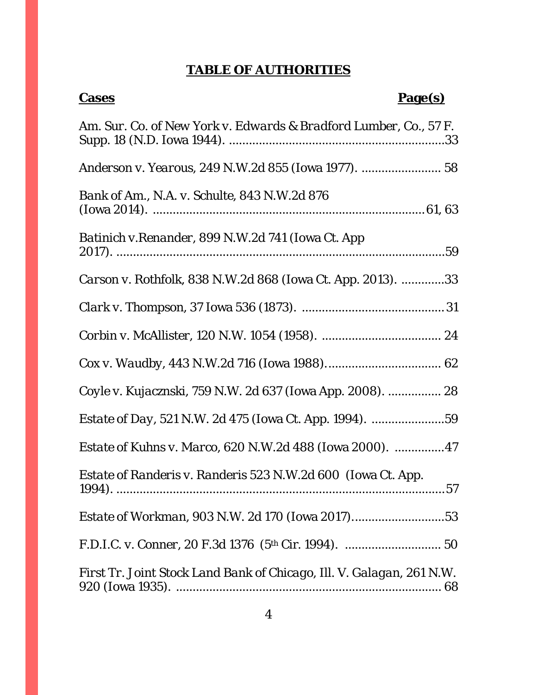# **TABLE OF AUTHORITIES**

| <b>Cases</b>                                                          | <u>Page(s)</u> |
|-----------------------------------------------------------------------|----------------|
| Am. Sur. Co. of New York v. Edwards & Bradford Lumber, Co., 57 F.     |                |
|                                                                       |                |
| <i>Bank of Am., N.A. v. Schulte, 843 N.W.2d 876</i>                   |                |
| Batinich v. Renander, 899 N.W.2d 741 (Iowa Ct. App                    |                |
| <i>Carson v. Rothfolk</i> , 838 N.W.2d 868 (Iowa Ct. App. 2013). 33   |                |
|                                                                       |                |
|                                                                       |                |
|                                                                       |                |
| Coyle v. Kujacznski, 759 N.W. 2d 637 (Iowa App. 2008).  28            |                |
|                                                                       |                |
| <i>Estate of Kuhns v. Marco, 620 N.W.2d 488 (Iowa 2000). 47</i>       |                |
| <i>Estate of Randeris v. Randeris</i> 523 N.W.2d 600 (Iowa Ct. App.   |                |
| <i>Estate of Workman, 903 N.W. 2d 170 (Iowa 2017)53</i>               |                |
|                                                                       |                |
| First Tr. Joint Stock Land Bank of Chicago, Ill. V. Galagan, 261 N.W. |                |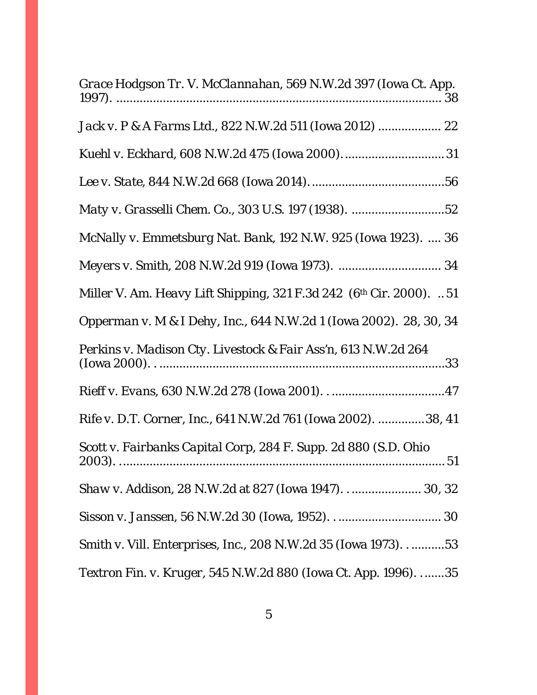| Grace Hodgson Tr. V. McClannahan, 569 N.W.2d 397 (Iowa Ct. App.         |
|-------------------------------------------------------------------------|
|                                                                         |
|                                                                         |
|                                                                         |
|                                                                         |
| <i>McNally v. Emmetsburg Nat. Bank</i> , 192 N.W. 925 (Iowa 1923).  36  |
|                                                                         |
| Miller V. Am. Heavy Lift Shipping, 321 F.3d 242 $(6th Cir. 2000)$ . 51  |
| Opperman v. M & I Dehy, Inc., 644 N.W.2d 1 (Iowa 2002). 28, 30, 34      |
| Perkins v. Madison Cty. Livestock & Fair Ass'n, 613 N.W.2d 264          |
|                                                                         |
| <i>Rife v. D.T. Corner, Inc.</i> , 641 N.W.2d 761 (Iowa 2002). 38, 41   |
| Scott v. Fairbanks Capital Corp, 284 F. Supp. 2d 880 (S.D. Ohio         |
| Shaw v. Addison, 28 N.W.2d at 827 (Iowa 1947) 30, 32                    |
|                                                                         |
| Smith v. Vill. Enterprises, Inc., 208 N.W.2d 35 (Iowa 1973)53           |
| <i>Textron Fin. v. Kruger</i> , 545 N.W.2d 880 (Iowa Ct. App. 1996). 35 |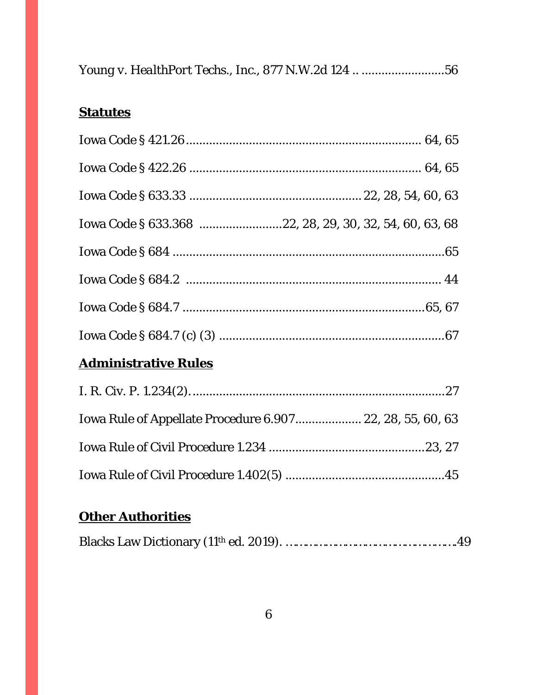| Young v. HealthPort Techs., Inc., 877 N.W.2d 124 56 |  |
|-----------------------------------------------------|--|
|-----------------------------------------------------|--|

# **Statutes**

| Iowa Code § 633.368 22, 28, 29, 30, 32, 54, 60, 63, 68 |  |
|--------------------------------------------------------|--|
|                                                        |  |
|                                                        |  |
|                                                        |  |
|                                                        |  |

# **Administrative Rules**

| Iowa Rule of Appellate Procedure 6.907 22, 28, 55, 60, 63 |  |
|-----------------------------------------------------------|--|
|                                                           |  |
|                                                           |  |

# **Other Authorities**

|--|--|--|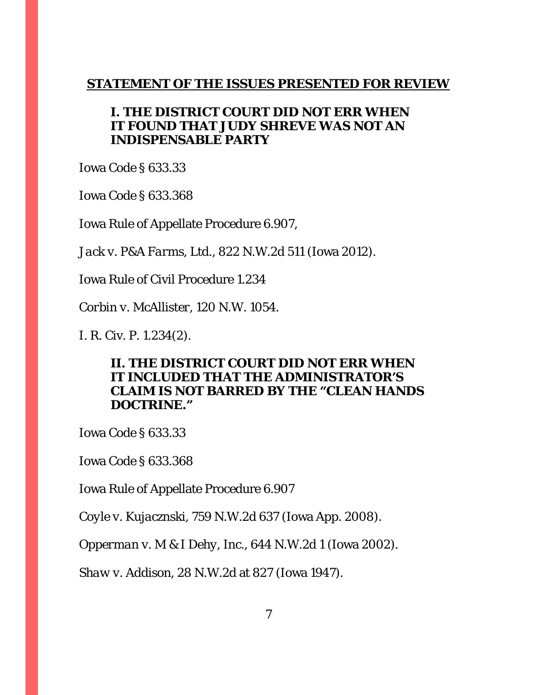## **STATEMENT OF THE ISSUES PRESENTED FOR REVIEW**

# **I. THE DISTRICT COURT DID NOT ERR WHEN IT FOUND THAT JUDY SHREVE WAS NOT AN INDISPENSABLE PARTY**

Iowa Code § 633.33

Iowa Code § 633.368

Iowa Rule of Appellate Procedure 6.907,

*Jack v. P&A Farms, Ltd.*, 822 N.W.2d 511 (Iowa 2012).

Iowa Rule of Civil Procedure 1.234

*Corbin v. McAllister*, 120 N.W. 1054.

I. R. Civ. P. 1.234(2).

# **II. THE DISTRICT COURT DID NOT ERR WHEN IT INCLUDED THAT THE ADMINISTRATOR'S CLAIM IS NOT BARRED BY THE "CLEAN HANDS DOCTRINE."**

Iowa Code § 633.33

Iowa Code § 633.368

Iowa Rule of Appellate Procedure 6.907

*Coyle v. Kujacznski,* 759 N.W.2d 637 (Iowa App. 2008).

*Opperman v. M & I Dehy, Inc.*, 644 N.W.2d 1 (Iowa 2002).

*Shaw v. Addison*, 28 N.W.2d at 827 (Iowa 1947).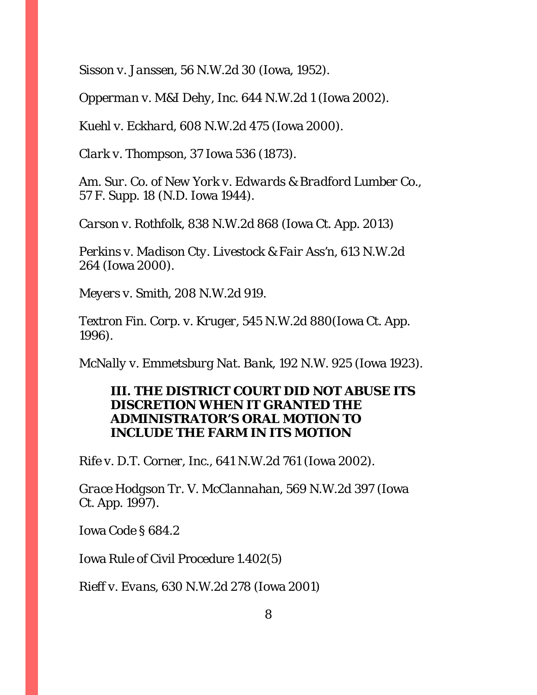*Sisson v. Janssen*, 56 N.W.2d 30 (Iowa, 1952).

*Opperman v. M&I Dehy, Inc*. 644 N.W.2d 1 (Iowa 2002).

*Kuehl v. Eckhard*, 608 N.W.2d 475 (Iowa 2000).

*Clark v. Thompson*, 37 Iowa 536 (1873).

*Am. Sur. Co. of New York v. Edwards & Bradford Lumber Co.,* 57 F. Supp. 18 (N.D. Iowa 1944).

*Carson v. Rothfolk*, 838 N.W.2d 868 (Iowa Ct. App. 2013)

*Perkins v. Madison Cty. Livestock & Fair Ass'n*, 613 N.W.2d 264 (Iowa 2000).

*Meyers v. Smith*, 208 N.W.2d 919.

*Textron Fin. Corp. v. Kruger*, 545 N.W.2d 880(Iowa Ct. App. 1996).

*McNally v. Emmetsburg Nat. Bank*, 192 N.W. 925 (Iowa 1923).

# **III. THE DISTRICT COURT DID NOT ABUSE ITS DISCRETION WHEN IT GRANTED THE ADMINISTRATOR'S ORAL MOTION TO INCLUDE THE FARM IN ITS MOTION**

*Rife v. D.T. Corner, Inc.*, 641 N.W.2d 761 (Iowa 2002).

*Grace Hodgson Tr. V. McClannahan*, 569 N.W.2d 397 (Iowa Ct. App. 1997).

Iowa Code § 684.2

Iowa Rule of Civil Procedure 1.402(5)

*Rieff v. Evans*, 630 N.W.2d 278 (Iowa 2001)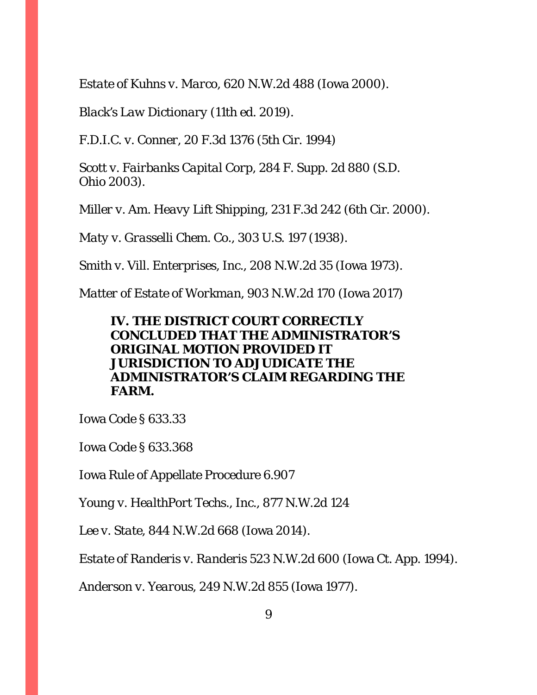*Estate of Kuhns v. Marco*, 620 N.W.2d 488 (Iowa 2000).

*Black's Law Dictionary* (11th ed. 2019).

*F.D.I.C. v. Conner*, 20 F.3d 1376 (5th Cir. 1994)

*Scott v. Fairbanks Capital Corp*, 284 F. Supp. 2d 880 (S.D. Ohio 2003).

*Miller v. Am. Heavy Lift Shipping,* 231 F.3d 242 (6th Cir. 2000).

*Maty v. Grasselli Chem. Co.,* 303 U.S. 197 (1938).

*Smith v. Vill. Enterprises, Inc.*, 208 N.W.2d 35 (Iowa 1973).

*Matter of Estate of Workman*, 903 N.W.2d 170 (Iowa 2017)

# **IV. THE DISTRICT COURT CORRECTLY CONCLUDED THAT THE ADMINISTRATOR'S ORIGINAL MOTION PROVIDED IT JURISDICTION TO ADJUDICATE THE ADMINISTRATOR'S CLAIM REGARDING THE FARM.**

Iowa Code § 633.33

Iowa Code § 633.368

Iowa Rule of Appellate Procedure 6.907

*Young v. HealthPort Techs., Inc.*, 877 N.W.2d 124

*Lee v. State*, 844 N.W.2d 668 (Iowa 2014).

*Estate of Randeris v. Randeris* 523 N.W.2d 600 (Iowa Ct. App. 1994).

*Anderson v. Yearous*, 249 N.W.2d 855 (Iowa 1977).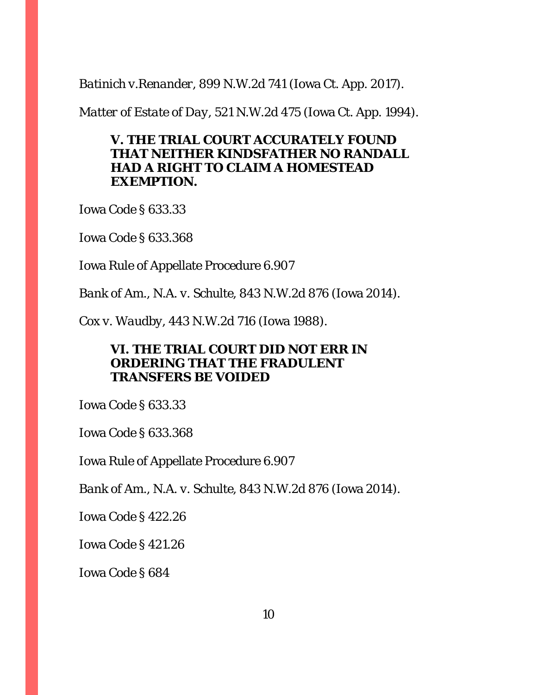*Batinich v.Renander*, 899 N.W.2d 741 (Iowa Ct. App. 2017).

*Matter of Estate of Day*, 521 N.W.2d 475 (Iowa Ct. App. 1994).

# **V. THE TRIAL COURT ACCURATELY FOUND THAT NEITHER KINDSFATHER NO RANDALL HAD A RIGHT TO CLAIM A HOMESTEAD EXEMPTION.**

Iowa Code § 633.33

Iowa Code § 633.368

Iowa Rule of Appellate Procedure 6.907

*Bank of Am., N.A. v. Schulte*, 843 N.W.2d 876 (Iowa 2014).

*Cox v. Waudby*, 443 N.W.2d 716 (Iowa 1988).

# **VI. THE TRIAL COURT DID NOT ERR IN ORDERING THAT THE FRADULENT TRANSFERS BE VOIDED**

Iowa Code § 633.33

Iowa Code § 633.368

Iowa Rule of Appellate Procedure 6.907

*Bank of Am., N.A. v. Schulte*, 843 N.W.2d 876 (Iowa 2014).

Iowa Code § 422.26

Iowa Code § 421.26

Iowa Code § 684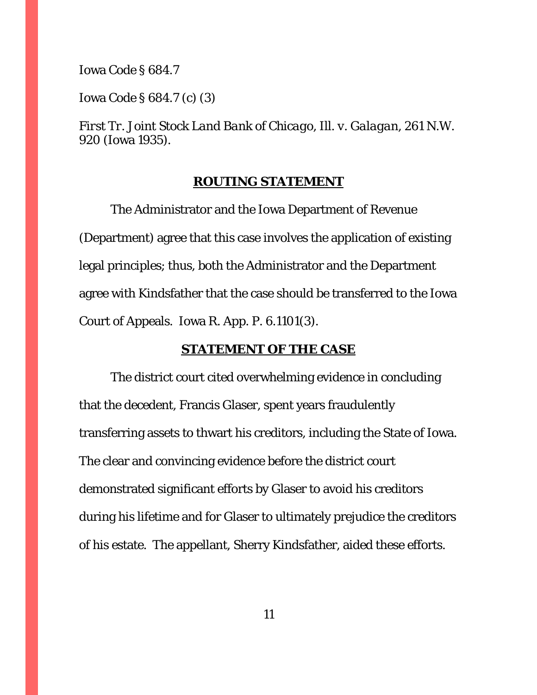Iowa Code § 684.7

Iowa Code § 684.7 (c) (3)

*First Tr. Joint Stock Land Bank of Chicago, Ill. v. Galagan*, 261 N.W. 920 (Iowa 1935).

#### **ROUTING STATEMENT**

The Administrator and the Iowa Department of Revenue (Department) agree that this case involves the application of existing legal principles; thus, both the Administrator and the Department agree with Kindsfather that the case should be transferred to the Iowa Court of Appeals. Iowa R. App. P. 6.1101(3).

## **STATEMENT OF THE CASE**

 The district court cited overwhelming evidence in concluding that the decedent, Francis Glaser, spent years fraudulently transferring assets to thwart his creditors, including the State of Iowa. The clear and convincing evidence before the district court demonstrated significant efforts by Glaser to avoid his creditors during his lifetime and for Glaser to ultimately prejudice the creditors of his estate. The appellant, Sherry Kindsfather, aided these efforts.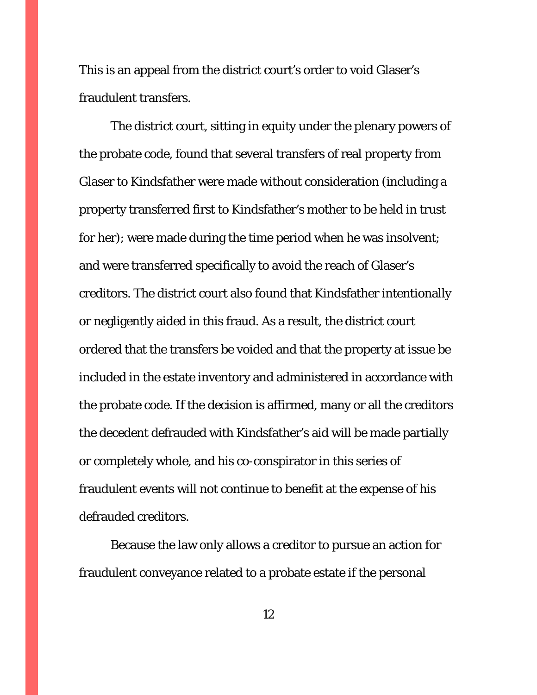This is an appeal from the district court's order to void Glaser's fraudulent transfers.

The district court, sitting in equity under the plenary powers of the probate code, found that several transfers of real property from Glaser to Kindsfather were made without consideration (including a property transferred first to Kindsfather's mother to be held in trust for her); were made during the time period when he was insolvent; and were transferred specifically to avoid the reach of Glaser's creditors. The district court also found that Kindsfather intentionally or negligently aided in this fraud. As a result, the district court ordered that the transfers be voided and that the property at issue be included in the estate inventory and administered in accordance with the probate code. If the decision is affirmed, many or all the creditors the decedent defrauded with Kindsfather's aid will be made partially or completely whole, and his co-conspirator in this series of fraudulent events will not continue to benefit at the expense of his defrauded creditors.

Because the law only allows a creditor to pursue an action for fraudulent conveyance related to a probate estate if the personal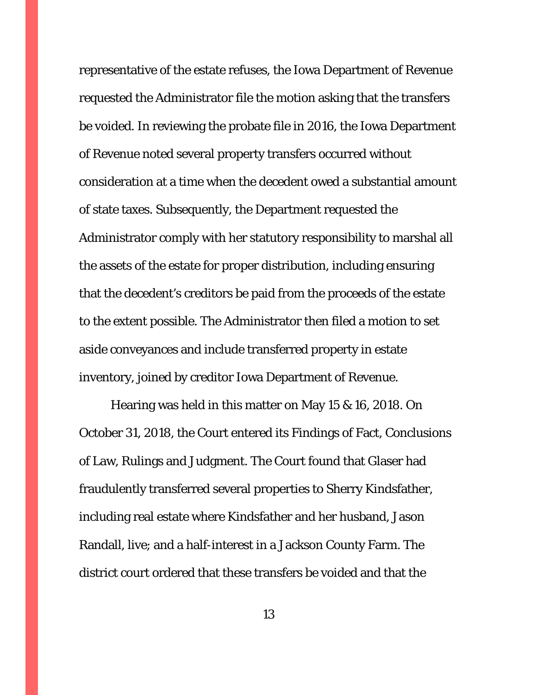representative of the estate refuses, the Iowa Department of Revenue requested the Administrator file the motion asking that the transfers be voided. In reviewing the probate file in 2016, the Iowa Department of Revenue noted several property transfers occurred without consideration at a time when the decedent owed a substantial amount of state taxes. Subsequently, the Department requested the Administrator comply with her statutory responsibility to marshal all the assets of the estate for proper distribution, including ensuring that the decedent's creditors be paid from the proceeds of the estate to the extent possible. The Administrator then filed a motion to set aside conveyances and include transferred property in estate inventory, joined by creditor Iowa Department of Revenue.

Hearing was held in this matter on May 15 & 16, 2018. On October 31, 2018, the Court entered its Findings of Fact, Conclusions of Law, Rulings and Judgment. The Court found that Glaser had fraudulently transferred several properties to Sherry Kindsfather, including real estate where Kindsfather and her husband, Jason Randall, live; and a half-interest in a Jackson County Farm. The district court ordered that these transfers be voided and that the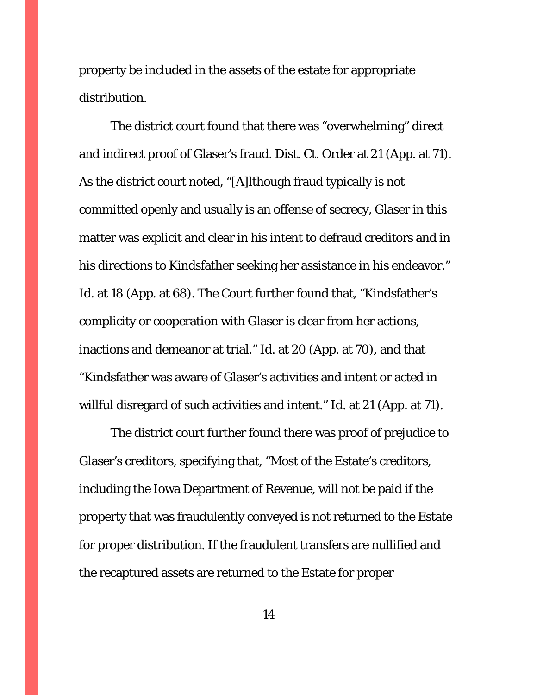property be included in the assets of the estate for appropriate distribution.

The district court found that there was "overwhelming" direct and indirect proof of Glaser's fraud. Dist. Ct. Order at 21 (App. at 71). As the district court noted, "[A]lthough fraud typically is not committed openly and usually is an offense of secrecy, Glaser in this matter was explicit and clear in his intent to defraud creditors and in his directions to Kindsfather seeking her assistance in his endeavor." Id. at 18 (App. at 68). The Court further found that, "Kindsfather's complicity or cooperation with Glaser is clear from her actions, inactions and demeanor at trial." *Id.* at 20 (App. at 70), and that "Kindsfather was aware of Glaser's activities and intent or acted in willful disregard of such activities and intent." *Id.* at 21 (App. at 71).

The district court further found there was proof of prejudice to Glaser's creditors, specifying that, "Most of the Estate's creditors, including the Iowa Department of Revenue, will not be paid if the property that was fraudulently conveyed is not returned to the Estate for proper distribution. If the fraudulent transfers are nullified and the recaptured assets are returned to the Estate for proper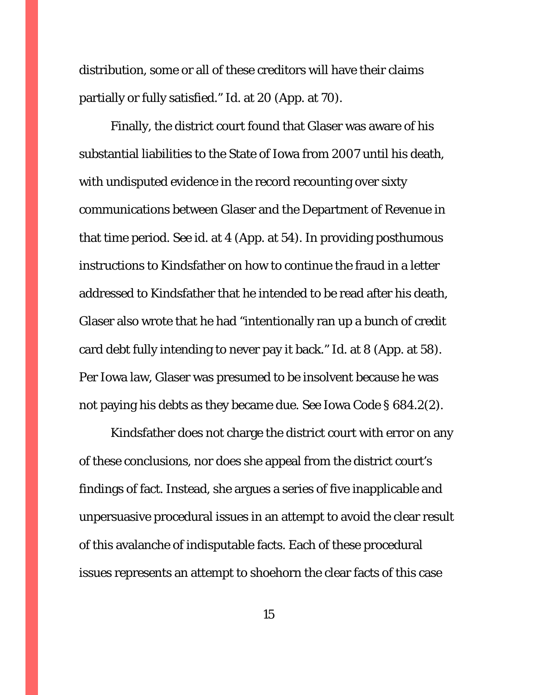distribution, some or all of these creditors will have their claims partially or fully satisfied." *Id.* at 20 (App. at 70).

Finally, the district court found that Glaser was aware of his substantial liabilities to the State of Iowa from 2007 until his death, with undisputed evidence in the record recounting over sixty communications between Glaser and the Department of Revenue in that time period. *See id.* at 4 (App. at 54). In providing posthumous instructions to Kindsfather on how to continue the fraud in a letter addressed to Kindsfather that he intended to be read after his death, Glaser also wrote that he had "intentionally ran up a bunch of credit card debt fully intending to never pay it back." *Id.* at 8 (App. at 58). Per Iowa law, Glaser was presumed to be insolvent because he was not paying his debts as they became due. *See* Iowa Code § 684.2(2).

Kindsfather does not charge the district court with error on any of these conclusions, nor does she appeal from the district court's findings of fact. Instead, she argues a series of five inapplicable and unpersuasive procedural issues in an attempt to avoid the clear result of this avalanche of indisputable facts. Each of these procedural issues represents an attempt to shoehorn the clear facts of this case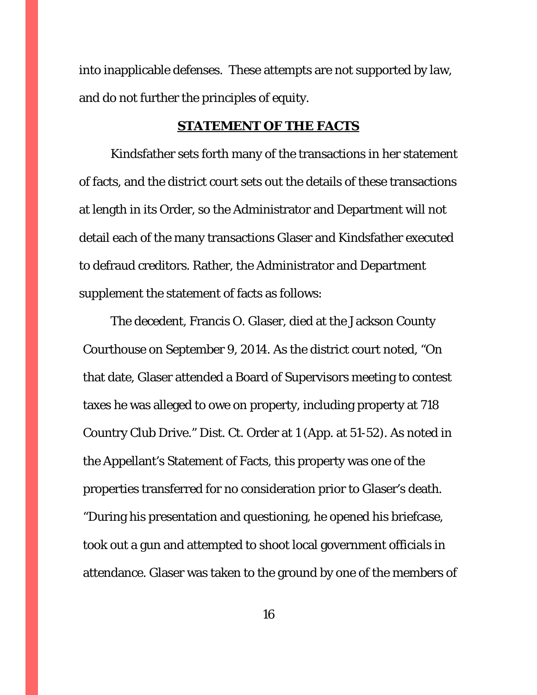into inapplicable defenses. These attempts are not supported by law, and do not further the principles of equity.

#### **STATEMENT OF THE FACTS**

 Kindsfather sets forth many of the transactions in her statement of facts, and the district court sets out the details of these transactions at length in its Order, so the Administrator and Department will not detail each of the many transactions Glaser and Kindsfather executed to defraud creditors. Rather, the Administrator and Department supplement the statement of facts as follows:

 The decedent, Francis O. Glaser, died at the Jackson County Courthouse on September 9, 2014. As the district court noted, "On that date, Glaser attended a Board of Supervisors meeting to contest taxes he was alleged to owe on property, including property at 718 Country Club Drive." Dist. Ct. Order at 1 (App. at 51-52). As noted in the Appellant's Statement of Facts, this property was one of the properties transferred for no consideration prior to Glaser's death. "During his presentation and questioning, he opened his briefcase, took out a gun and attempted to shoot local government officials in attendance. Glaser was taken to the ground by one of the members of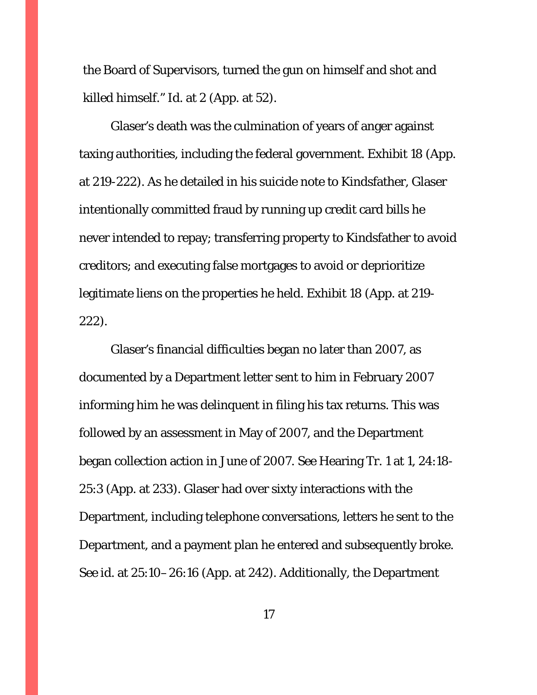the Board of Supervisors, turned the gun on himself and shot and killed himself." *Id*. at 2 (App. at 52).

 Glaser's death was the culmination of years of anger against taxing authorities, including the federal government. Exhibit 18 (App. at 219-222). As he detailed in his suicide note to Kindsfather, Glaser intentionally committed fraud by running up credit card bills he never intended to repay; transferring property to Kindsfather to avoid creditors; and executing false mortgages to avoid or deprioritize legitimate liens on the properties he held. Exhibit 18 (App. at 219- 222).

 Glaser's financial difficulties began no later than 2007, as documented by a Department letter sent to him in February 2007 informing him he was delinquent in filing his tax returns. This was followed by an assessment in May of 2007, and the Department began collection action in June of 2007. *See* Hearing Tr. 1 at 1, 24:18- 25:3 (App. at 233). Glaser had over sixty interactions with the Department, including telephone conversations, letters he sent to the Department, and a payment plan he entered and subsequently broke. *See id*. at 25:10–26:16 (App. at 242). Additionally, the Department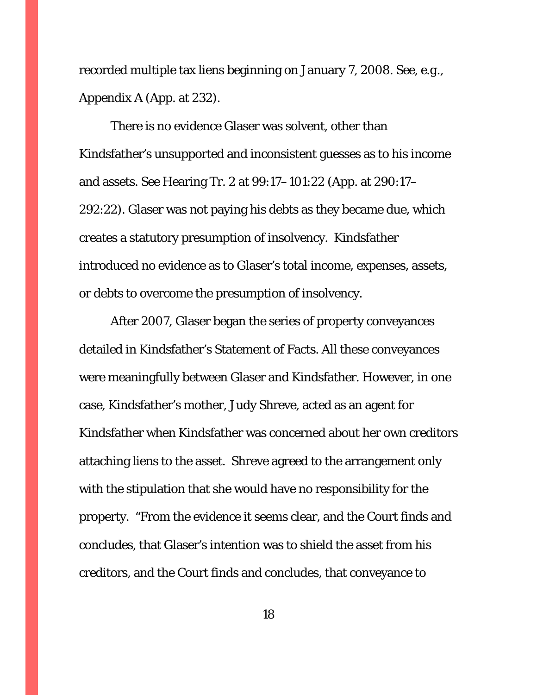recorded multiple tax liens beginning on January 7, 2008. *See, e.g.,*  Appendix A (App. at 232).

 There is no evidence Glaser was solvent, other than Kindsfather's unsupported and inconsistent guesses as to his income and assets. *See* Hearing Tr. 2 at 99:17–101:22 (App. at 290:17– 292:22). Glaser was not paying his debts as they became due, which creates a statutory presumption of insolvency. Kindsfather introduced no evidence as to Glaser's total income, expenses, assets, or debts to overcome the presumption of insolvency.

 After 2007, Glaser began the series of property conveyances detailed in Kindsfather's Statement of Facts. All these conveyances were meaningfully between Glaser and Kindsfather. However, in one case, Kindsfather's mother, Judy Shreve, acted as an agent for Kindsfather when Kindsfather was concerned about her own creditors attaching liens to the asset. Shreve agreed to the arrangement only with the stipulation that she would have no responsibility for the property. "From the evidence it seems clear, and the Court finds and concludes, that Glaser's intention was to shield the asset from *his*  creditors, and the Court finds and concludes, that conveyance to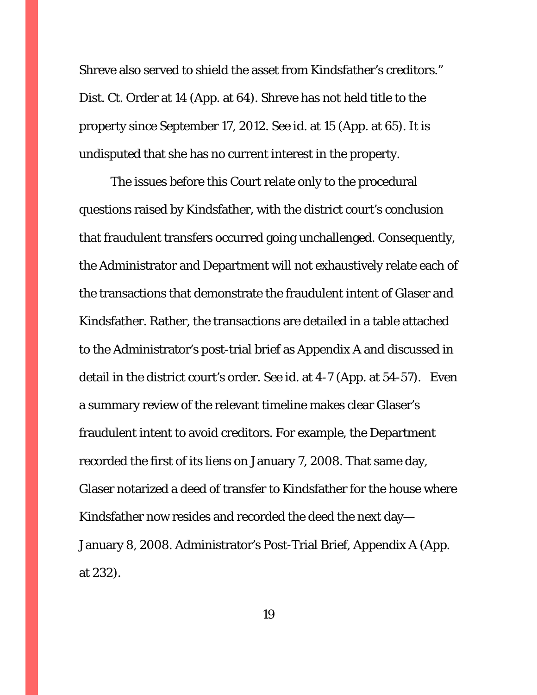Shreve also served to shield the asset from Kindsfather's creditors." Dist. Ct. Order at 14 (App. at 64). Shreve has not held title to the property since September 17, 2012. *See id.* at 15 (App. at 65). It is undisputed that she has no current interest in the property.

 The issues before this Court relate only to the procedural questions raised by Kindsfather, with the district court's conclusion that fraudulent transfers occurred going unchallenged. Consequently, the Administrator and Department will not exhaustively relate each of the transactions that demonstrate the fraudulent intent of Glaser and Kindsfather. Rather, the transactions are detailed in a table attached to the Administrator's post-trial brief as Appendix A and discussed in detail in the district court's order. *See id.* at 4-7 (App. at 54-57). Even a summary review of the relevant timeline makes clear Glaser's fraudulent intent to avoid creditors. For example, the Department recorded the first of its liens on January 7, 2008. That same day, Glaser notarized a deed of transfer to Kindsfather for the house where Kindsfather now resides and recorded the deed the next day— January 8, 2008. Administrator's Post-Trial Brief, Appendix A (App. at 232).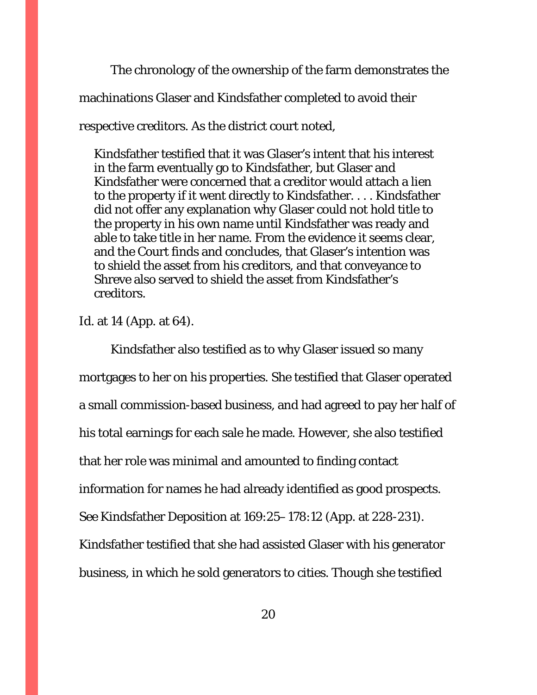The chronology of the ownership of the farm demonstrates the machinations Glaser and Kindsfather completed to avoid their respective creditors. As the district court noted,

Kindsfather testified that it was Glaser's intent that his interest in the farm eventually go to Kindsfather, but Glaser and Kindsfather were concerned that a creditor would attach a lien to the property if it went directly to Kindsfather. . . . Kindsfather did not offer any explanation why Glaser could not hold title to the property in his own name until Kindsfather was ready and able to take title in her name. From the evidence it seems clear, and the Court finds and concludes, that Glaser's intention was to shield the asset from *his* creditors, and that conveyance to Shreve also served to shield the asset from Kindsfather's creditors.

*Id.* at 14 (App. at 64).

 Kindsfather also testified as to why Glaser issued so many mortgages to her on his properties. She testified that Glaser operated a small commission-based business, and had agreed to pay her half of his total earnings for each sale he made. However, she also testified that her role was minimal and amounted to finding contact information for names he had already identified as good prospects. *See* Kindsfather Deposition at 169:25–178:12 (App. at 228-231). Kindsfather testified that she had assisted Glaser with his generator business, in which he sold generators to cities. Though she testified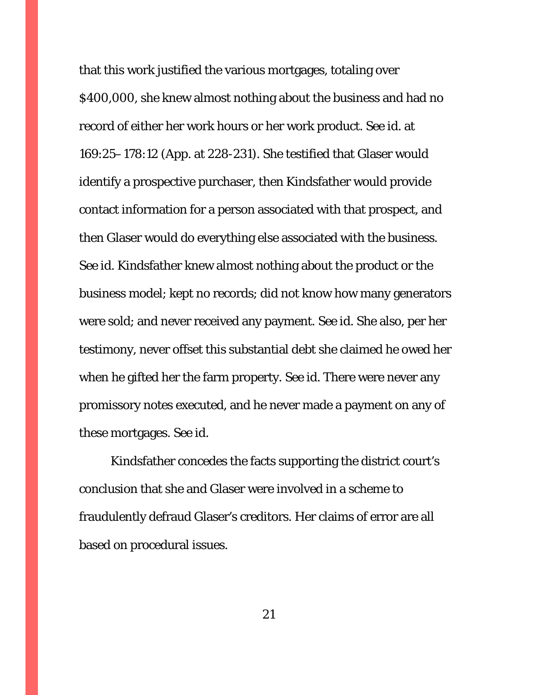that this work justified the various mortgages, totaling over \$400,000, she knew almost nothing about the business and had no record of either her work hours or her work product. *See id.* at 169:25–178:12 (App. at 228-231). She testified that Glaser would identify a prospective purchaser, then Kindsfather would provide contact information for a person associated with that prospect, and then Glaser would do everything else associated with the business. *See id.* Kindsfather knew almost nothing about the product or the business model; kept no records; did not know how many generators were sold; and never received any payment. *See id*. She also, per her testimony, never offset this substantial debt she claimed he owed her when he gifted her the farm property. *See id*. There were never any promissory notes executed, and he never made a payment on any of these mortgages. *See id*.

 Kindsfather concedes the facts supporting the district court's conclusion that she and Glaser were involved in a scheme to fraudulently defraud Glaser's creditors. Her claims of error are all based on procedural issues.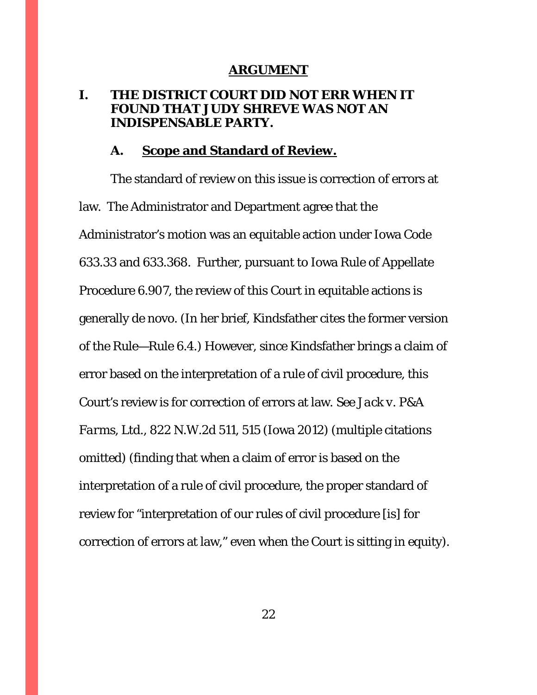#### **ARGUMENT**

# **I. THE DISTRICT COURT DID NOT ERR WHEN IT FOUND THAT JUDY SHREVE WAS NOT AN INDISPENSABLE PARTY.**

### **A. Scope and Standard of Review.**

 The standard of review on this issue is correction of errors at law. The Administrator and Department agree that the Administrator's motion was an equitable action under Iowa Code 633.33 and 633.368. Further, pursuant to Iowa Rule of Appellate Procedure 6.907, the review of this Court in equitable actions is generally de novo. (In her brief, Kindsfather cites the former version of the Rule—Rule 6.4.) However, since Kindsfather brings a claim of error based on the interpretation of a rule of civil procedure, this Court's review is for correction of errors at law. *See Jack v. P&A Farms, Ltd.*, 822 N.W.2d 511, 515 (Iowa 2012) (multiple citations omitted) (finding that when a claim of error is based on the interpretation of a rule of civil procedure, the proper standard of review for "interpretation of our rules of civil procedure [is] for correction of errors at law," even when the Court is sitting in equity).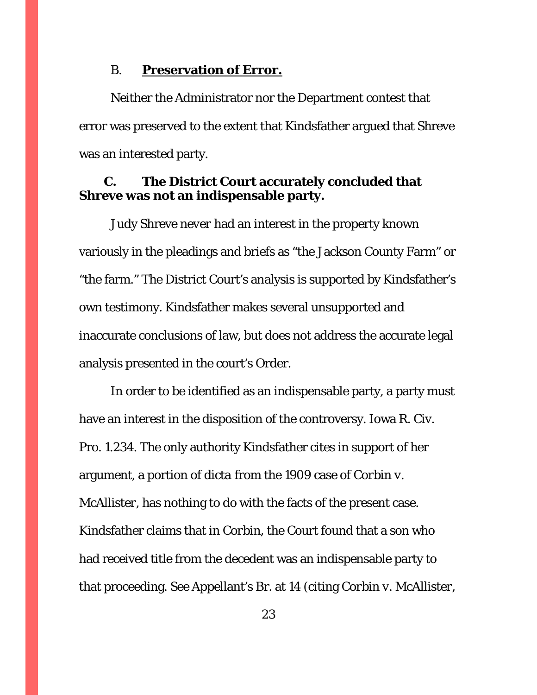#### B. **Preservation of Error.**

 Neither the Administrator nor the Department contest that error was preserved to the extent that Kindsfather argued that Shreve was an interested party.

# **C. The District Court accurately concluded that Shreve was not an indispensable party.**

 Judy Shreve *never* had an interest in the property known variously in the pleadings and briefs as "the Jackson County Farm" or "the farm." The District Court's analysis is supported by Kindsfather's own testimony. Kindsfather makes several unsupported and inaccurate conclusions of law, but does not address the accurate legal analysis presented in the court's Order.

 In order to be identified as an indispensable party, a party must have an interest in the disposition of the controversy. Iowa R. Civ. Pro. 1.234. The only authority Kindsfather cites in support of her argument, a portion of *dicta* from the 1909 case of *Corbin v. McAllister*, has nothing to do with the facts of the present case. Kindsfather claims that in *Corbin,* the Court found that a son who had received title from the decedent was an indispensable party to that proceeding. *See* Appellant's Br. at 14 (citing *Corbin v. McAllister*,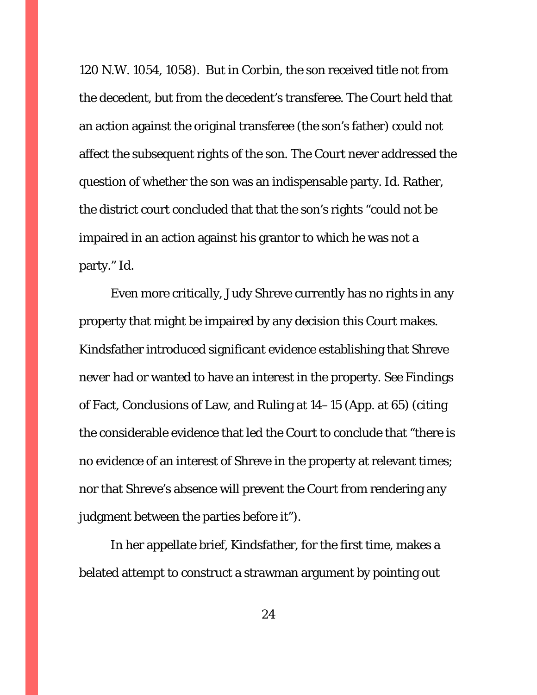120 N.W. 1054, 1058). But in *Corbin*, the son received title not from the decedent, but from the decedent's transferee. The Court held that an action against the original transferee (the son's father) could not affect the subsequent rights of the son. The Court never addressed the question of whether the son was an indispensable party. *Id*. Rather, the district court concluded that that the son's rights "could not be impaired in an action against his grantor to which he was not a party." *Id*.

 Even more critically, Judy Shreve currently has no rights in any property that might be impaired by any decision this Court makes. Kindsfather introduced significant evidence establishing that Shreve *never* had or wanted to have an interest in the property. *See* Findings of Fact, Conclusions of Law, and Ruling at 14–15 (App. at 65) (citing the considerable evidence that led the Court to conclude that "there is no evidence of an interest of Shreve in the property at relevant times; nor that Shreve's absence will prevent the Court from rendering any judgment between the parties before it").

 In her appellate brief, Kindsfather, for the first time, makes a belated attempt to construct a strawman argument by pointing out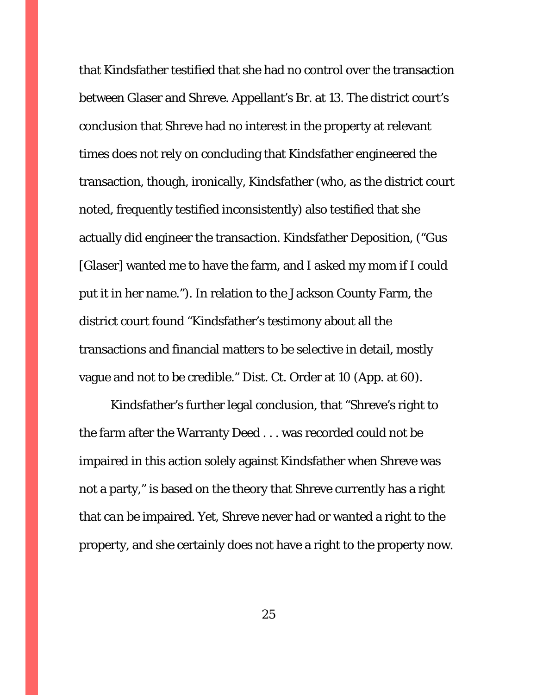that Kindsfather testified that she had no control over the transaction between Glaser and Shreve. Appellant's Br. at 13. The district court's conclusion that Shreve had no interest in the property at relevant times does not rely on concluding that Kindsfather engineered the transaction, though, ironically, Kindsfather (who, as the district court noted, frequently testified inconsistently) also testified that she actually *did* engineer the transaction. Kindsfather Deposition, ("Gus [Glaser] wanted me to have the farm, and I asked my mom if I could put it in her name."). In relation to the Jackson County Farm, the district court found "Kindsfather's testimony about all the transactions and financial matters to be selective in detail, mostly vague and not to be credible." Dist. Ct. Order at 10 (App. at 60).

 Kindsfather's further legal conclusion, that "Shreve's right to the farm after the Warranty Deed . . . was recorded could not be impaired in this action solely against Kindsfather when Shreve was not a party," is based on the theory that Shreve currently has a right that *can* be impaired. Yet, Shreve never had or wanted a right to the property, and she certainly does not have a right to the property now.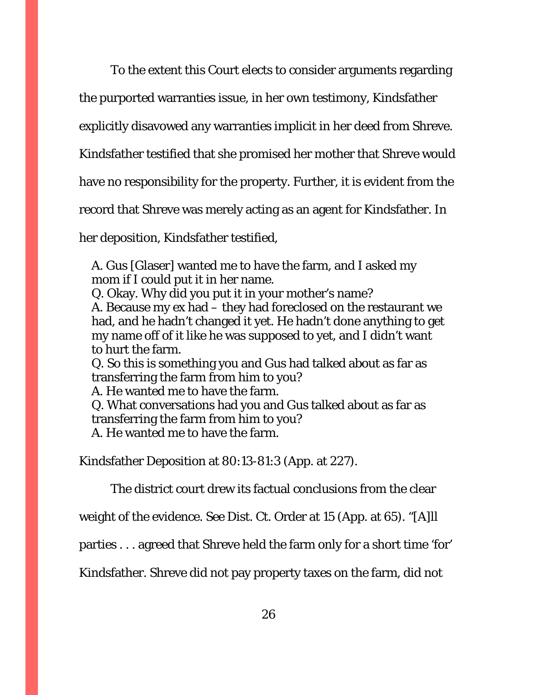To the extent this Court elects to consider arguments regarding

the purported warranties issue, in her own testimony, Kindsfather

explicitly disavowed any warranties implicit in her deed from Shreve.

Kindsfather testified that she promised her mother that Shreve would

have no responsibility for the property. Further, it is evident from the

record that Shreve was merely acting as an agent for Kindsfather. In

her deposition, Kindsfather testified,

A. Gus [Glaser] wanted me to have the farm, and I asked my mom if I could put it in her name.

Q. Okay. Why did you put it in your mother's name? A. Because my ex had – they had foreclosed on the restaurant we had, and he hadn't changed it yet. He hadn't done anything to get

my name off of it like he was supposed to yet, and I didn't want to hurt the farm.

Q. So this is something you and Gus had talked about as far as transferring the farm from him to you?

A. He wanted me to have the farm.

Q. What conversations had you and Gus talked about as far as transferring the farm from him to you?

A. He wanted me to have the farm.

Kindsfather Deposition at 80:13-81:3 (App. at 227).

The district court drew its factual conclusions from the clear

weight of the evidence. *See* Dist. Ct. Order at 15 (App. at 65). "[A]ll

parties . . . agreed that Shreve held the farm only for a short time 'for'

Kindsfather. Shreve did not pay property taxes on the farm, did not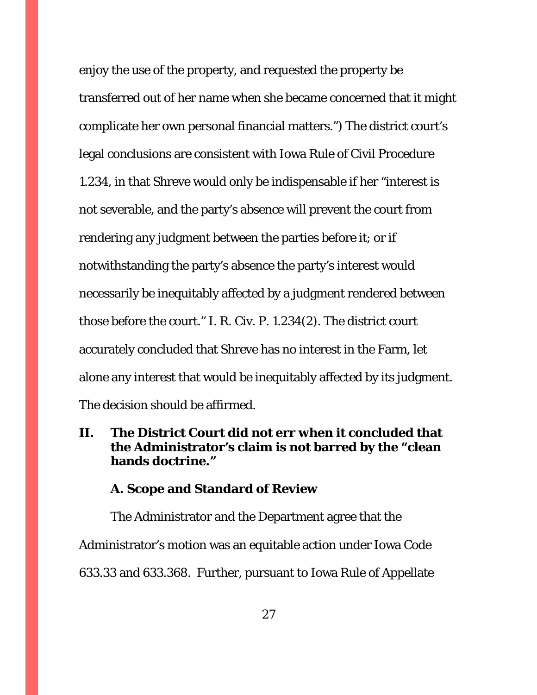enjoy the use of the property, and requested the property be transferred out of her name when she became concerned that it might complicate her own personal financial matters.") The district court's legal conclusions are consistent with Iowa Rule of Civil Procedure 1.234, in that Shreve would only be indispensable if her "interest is not severable, and the party's absence will prevent the court from rendering any judgment between the parties before it; or if notwithstanding the party's absence the party's interest would necessarily be inequitably affected by a judgment rendered between those before the court." I. R. Civ. P. 1.234(2). The district court accurately concluded that Shreve has no interest in the Farm, let alone any interest that would be inequitably affected by its judgment. The decision should be affirmed.

# **II. The District Court did not err when it concluded that the Administrator's claim is not barred by the "clean hands doctrine."**

# **A. Scope and Standard of Review**

The Administrator and the Department agree that the Administrator's motion was an equitable action under Iowa Code 633.33 and 633.368. Further, pursuant to Iowa Rule of Appellate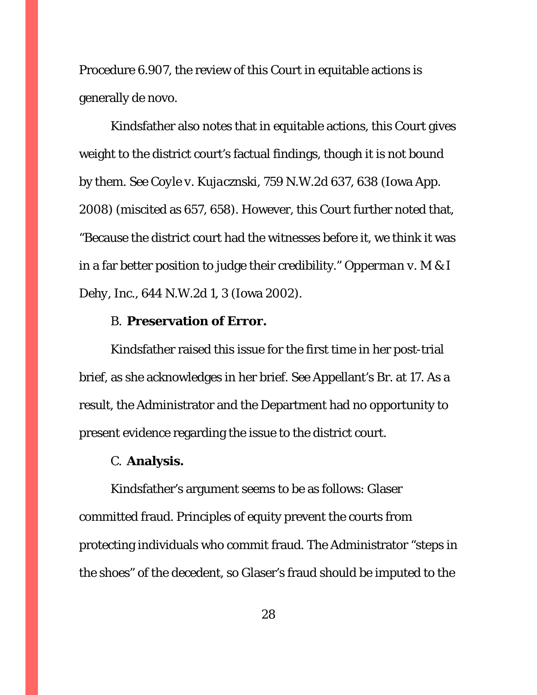Procedure 6.907, the review of this Court in equitable actions is generally de novo.

 Kindsfather also notes that in equitable actions, this Court gives weight to the district court's factual findings, though it is not bound by them. *See Coyle v. Kujacznski,* 759 N.W.2d 637, 638 (Iowa App. 2008) (miscited as 657, 658). However, this Court further noted that, "Because the district court had the witnesses before it, we think it was in a far better position to judge their credibility." *Opperman v. M & I Dehy, Inc.*, 644 N.W.2d 1, 3 (Iowa 2002).

# B. **Preservation of Error.**

Kindsfather raised this issue for the first time in her post-trial brief, as she acknowledges in her brief. *See* Appellant's Br. at 17. As a result, the Administrator and the Department had no opportunity to present evidence regarding the issue to the district court.

#### C. **Analysis.**

Kindsfather's argument seems to be as follows: Glaser committed fraud. Principles of equity prevent the courts from protecting individuals who commit fraud. The Administrator "steps in the shoes" of the decedent, so Glaser's fraud should be imputed to the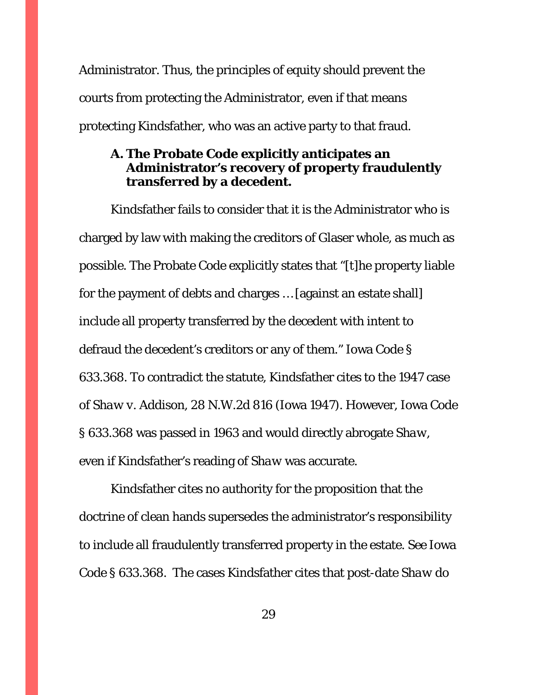Administrator. Thus, the principles of equity should prevent the courts from protecting the Administrator, even if that means protecting Kindsfather, who was an active party to that fraud.

# **A. The Probate Code explicitly anticipates an Administrator's recovery of property fraudulently transferred by a decedent.**

Kindsfather fails to consider that it is the Administrator who is charged by law with making the creditors of Glaser whole, as much as possible. The Probate Code explicitly states that "[t]he property liable for the payment of debts and charges … [against an estate shall] include all property transferred by the decedent with intent to defraud the decedent's creditors or any of them." Iowa Code § 633.368. To contradict the statute, Kindsfather cites to the 1947 case of *Shaw v. Addison*, 28 N.W.2d 816 (Iowa 1947). However, Iowa Code § 633.368 was passed in 1963 and would directly abrogate *Shaw*, even if Kindsfather's reading of *Shaw* was accurate.

Kindsfather cites no authority for the proposition that the doctrine of clean hands supersedes the administrator's responsibility to include all fraudulently transferred property in the estate. *See* Iowa Code § 633.368. The cases Kindsfather cites that post-date *Shaw* do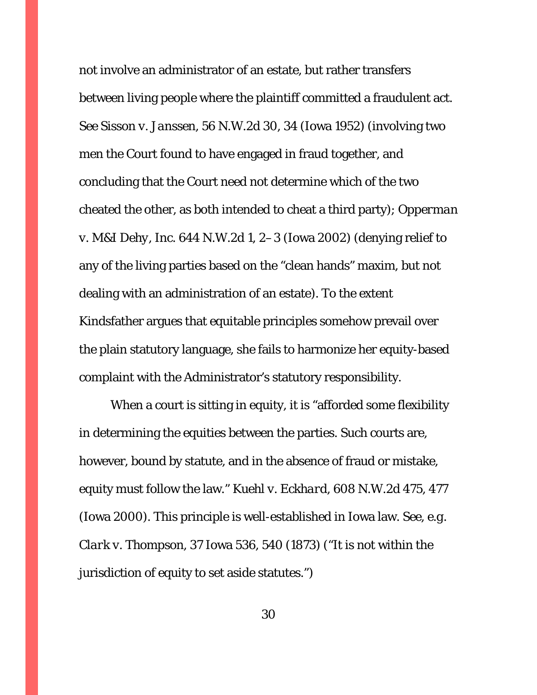not involve an administrator of an estate, but rather transfers between living people where the plaintiff committed a fraudulent act. *See Sisson v. Janssen*, 56 N.W.2d 30, 34 (Iowa 1952) (involving two men the Court found to have engaged in fraud together, and concluding that the Court need not determine which of the two cheated the other, as both intended to cheat a third party); *Opperman v. M&I Dehy, Inc*. 644 N.W.2d 1, 2–3 (Iowa 2002) (denying relief to any of the living parties based on the "clean hands" maxim, but not dealing with an administration of an estate). To the extent Kindsfather argues that equitable principles somehow prevail over the plain statutory language, she fails to harmonize her equity-based complaint with the Administrator's statutory responsibility.

 When a court is sitting in equity, it is "afforded some flexibility in determining the equities between the parties. Such courts are, however, bound by statute, and in the absence of fraud or mistake, equity must follow the law." *Kuehl v. Eckhard*, 608 N.W.2d 475, 477 (Iowa 2000). This principle is well-established in Iowa law. *See, e.g. Clark v. Thompson*, 37 Iowa 536, 540 (1873) ("It is not within the jurisdiction of equity to set aside statutes.")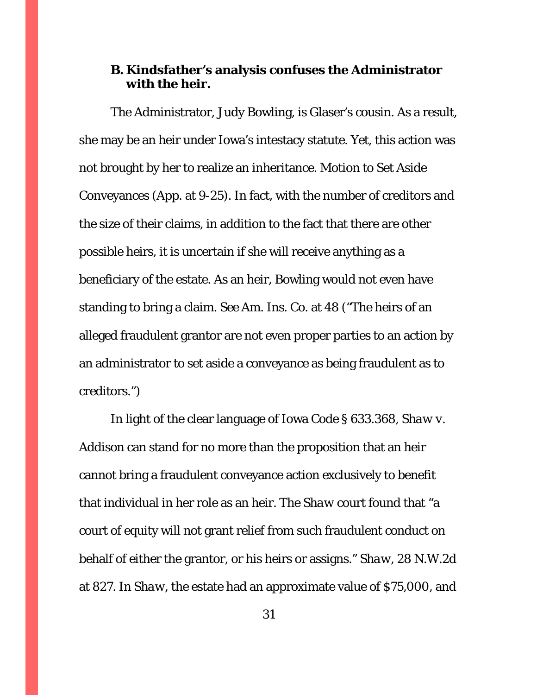# **B. Kindsfather's analysis confuses the Administrator with the heir.**

The Administrator, Judy Bowling, is Glaser's cousin. As a result, she may be an heir under Iowa's intestacy statute. Yet, this action was not brought by her to realize an inheritance. Motion to Set Aside Conveyances (App. at 9-25). In fact, with the number of creditors and the size of their claims, in addition to the fact that there are other possible heirs, it is uncertain if she will receive anything as a beneficiary of the estate. As an heir, Bowling would not even have standing to bring a claim. *See Am. Ins. Co.* at 48 ("The heirs of an alleged fraudulent grantor are not even proper parties to an action by an administrator to set aside a conveyance as being fraudulent as to creditors.")

In light of the clear language of Iowa Code § 633.368, *Shaw v. Addison* can stand for no more than the proposition that an heir cannot bring a fraudulent conveyance action exclusively to benefit that individual in her role as an heir. The *Shaw* court found that "a court of equity will not grant relief from such fraudulent conduct on behalf of either the grantor, or his heirs or assigns." *Shaw*, 28 N.W.2d at 827. In *Shaw*, the estate had an approximate value of \$75,000, and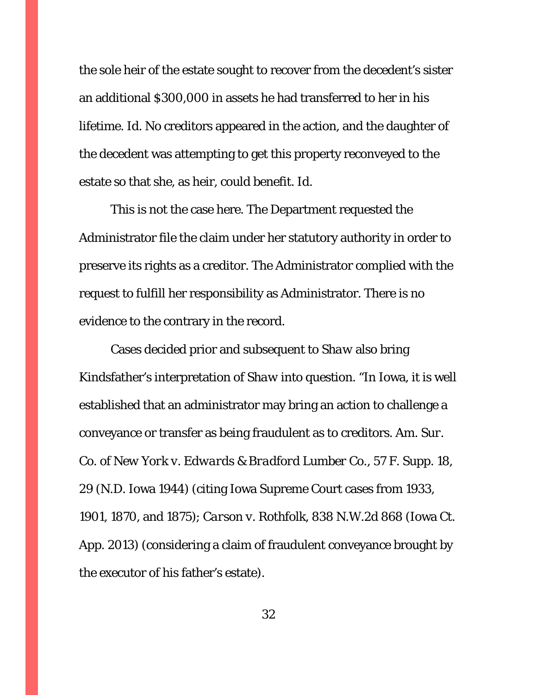the sole heir of the estate sought to recover from the decedent's sister an additional \$300,000 in assets he had transferred to her in his lifetime. *Id*. No creditors appeared in the action, and the daughter of the decedent was attempting to get this property reconveyed to the estate so that she, as heir, could benefit. *Id*.

This is not the case here. The Department requested the Administrator file the claim under her statutory authority in order to preserve its rights as a creditor. The Administrator complied with the request to fulfill her responsibility as Administrator. There is no evidence to the contrary in the record.

Cases decided prior and subsequent to *Shaw* also bring Kindsfather's interpretation of *Shaw* into question. "In Iowa, it is well established that an administrator may bring an action to challenge a conveyance or transfer as being fraudulent as to creditors. *Am. Sur. Co. of New York v. Edwards & Bradford Lumber Co.*, 57 F. Supp. 18, 29 (N.D. Iowa 1944) (citing Iowa Supreme Court cases from 1933, 1901, 1870, and 1875); *Carson v. Rothfolk*, 838 N.W.2d 868 (Iowa Ct. App. 2013) (considering a claim of fraudulent conveyance brought by the executor of his father's estate).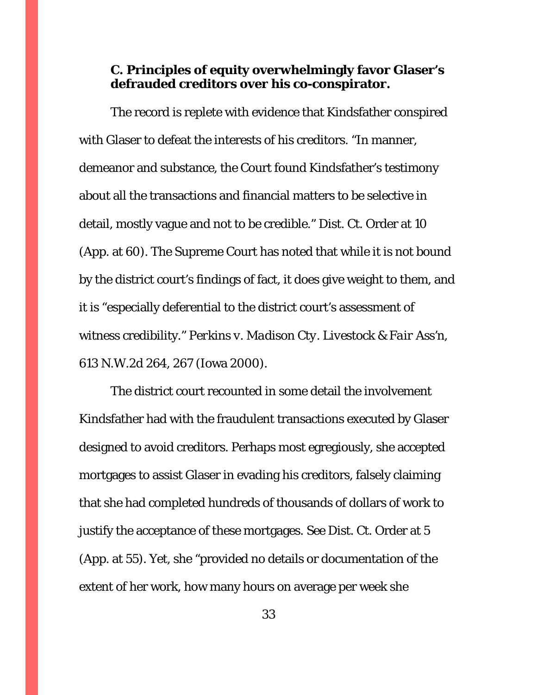# **C. Principles of equity overwhelmingly favor Glaser's defrauded creditors over his co-conspirator.**

The record is replete with evidence that Kindsfather conspired with Glaser to defeat the interests of his creditors. "In manner, demeanor and substance, the Court found Kindsfather's testimony about all the transactions and financial matters to be selective in detail, mostly vague and not to be credible." Dist. Ct. Order at 10 (App. at 60). The Supreme Court has noted that while it is not bound by the district court's findings of fact, it does give weight to them, and it is "especially deferential to the district court's assessment of witness credibility." *Perkins v. Madison Cty. Livestock & Fair Ass'n*, 613 N.W.2d 264, 267 (Iowa 2000).

The district court recounted in some detail the involvement Kindsfather had with the fraudulent transactions executed by Glaser designed to avoid creditors. Perhaps most egregiously, she accepted mortgages to assist Glaser in evading his creditors, falsely claiming that she had completed hundreds of thousands of dollars of work to justify the acceptance of these mortgages. *See* Dist. Ct. Order at 5 (App. at 55). Yet, she "provided no details or documentation of the extent of her work, how many hours on average per week she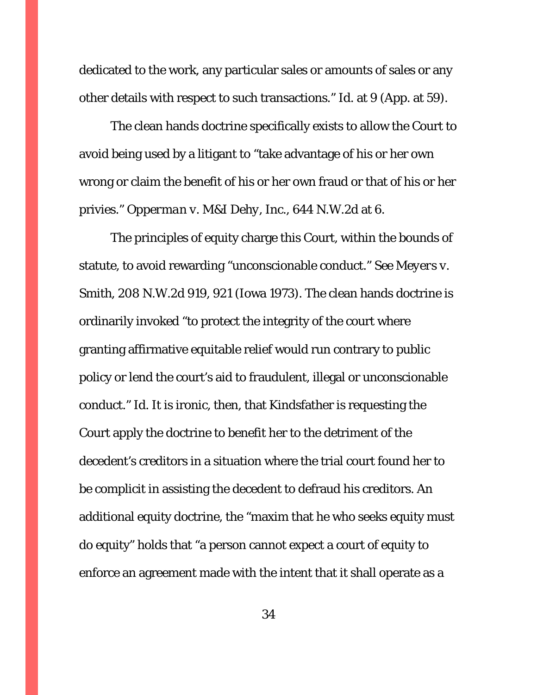dedicated to the work, any particular sales or amounts of sales or any other details with respect to such transactions." *Id.* at 9 (App. at 59).

The clean hands doctrine specifically exists to allow the Court to avoid being used by a litigant to "take advantage of his or her own wrong or claim the benefit of his or her own fraud or that of his or her privies." *Opperman v. M&I Dehy, Inc.*, 644 N.W.2d at 6.

 The principles of equity charge this Court, within the bounds of statute, to avoid rewarding "unconscionable conduct." *See Meyers v. Smith*, 208 N.W.2d 919, 921 (Iowa 1973). The clean hands doctrine is ordinarily invoked "to protect the integrity of the court where granting affirmative equitable relief would run contrary to public policy or lend the court's aid to fraudulent, illegal or unconscionable conduct." *Id*. It is ironic, then, that Kindsfather is requesting the Court apply the doctrine to benefit her to the detriment of the decedent's creditors in a situation where the trial court found her to be complicit in assisting the decedent to defraud his creditors. An additional equity doctrine, the "maxim that he who seeks equity must do equity" holds that "a person cannot expect a court of equity to enforce an agreement made with the intent that it shall operate as a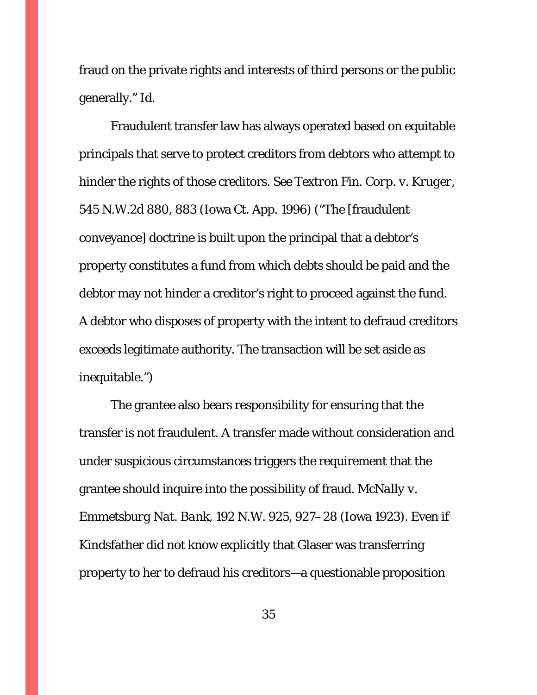fraud on the private rights and interests of third persons or the public generally." *Id*.

 Fraudulent transfer law has always operated based on equitable principals that serve to protect creditors from debtors who attempt to hinder the rights of those creditors. *See Textron Fin. Corp. v. Kruger*, 545 N.W.2d 880, 883 (Iowa Ct. App. 1996) ("The [fraudulent conveyance] doctrine is built upon the principal that a debtor's property constitutes a fund from which debts should be paid and the debtor may not hinder a creditor's right to proceed against the fund. A debtor who disposes of property with the intent to defraud creditors exceeds legitimate authority. The transaction will be set aside as inequitable.")

 The grantee also bears responsibility for ensuring that the transfer is not fraudulent. A transfer made without consideration and under suspicious circumstances triggers the requirement that the grantee should inquire into the possibility of fraud. *McNally v. Emmetsburg Nat. Bank*, 192 N.W. 925, 927–28 (Iowa 1923). Even if Kindsfather did not know explicitly that Glaser was transferring property to her to defraud his creditors—a questionable proposition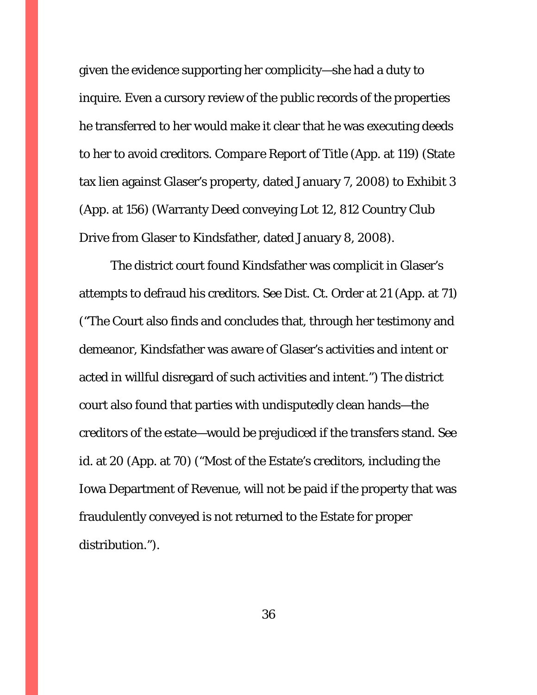given the evidence supporting her complicity—she had a duty to inquire. Even a cursory review of the public records of the properties he transferred to her would make it clear that he was executing deeds to her to avoid creditors. *Compare* Report of Title (App. at 119) (State tax lien against Glaser's property, dated January 7, 2008) to Exhibit 3 (App. at 156) (Warranty Deed conveying Lot 12, 812 Country Club Drive from Glaser to Kindsfather, dated January 8, 2008).

The district court found Kindsfather was complicit in Glaser's attempts to defraud his creditors. *See* Dist. Ct. Order at 21 (App. at 71) ("The Court also finds and concludes that, through her testimony and demeanor, Kindsfather was aware of Glaser's activities and intent or acted in willful disregard of such activities and intent.") The district court also found that parties with undisputedly clean hands—the creditors of the estate—would be prejudiced if the transfers stand. *See id.* at 20 (App. at 70) ("Most of the Estate's creditors, including the Iowa Department of Revenue, will not be paid if the property that was fraudulently conveyed is not returned to the Estate for proper distribution.").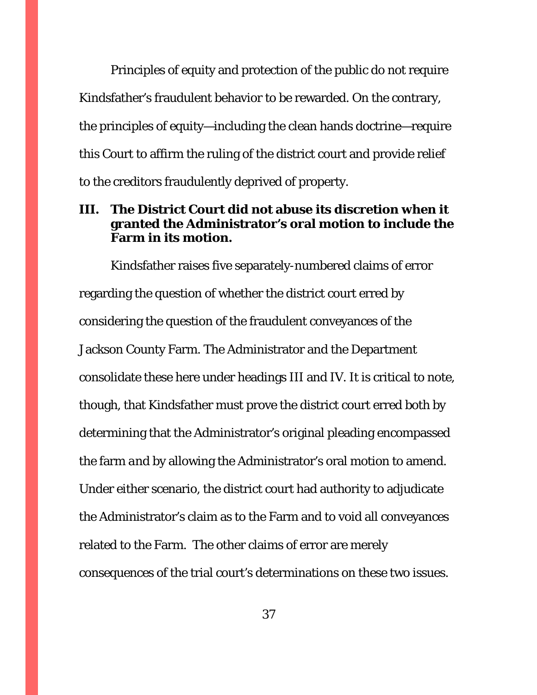Principles of equity and protection of the public do not require Kindsfather's fraudulent behavior to be rewarded. On the contrary, the principles of equity—including the clean hands doctrine—require this Court to affirm the ruling of the district court and provide relief to the creditors fraudulently deprived of property.

# **III. The District Court did not abuse its discretion when it granted the Administrator's oral motion to include the Farm in its motion.**

 Kindsfather raises five separately-numbered claims of error regarding the question of whether the district court erred by considering the question of the fraudulent conveyances of the Jackson County Farm. The Administrator and the Department consolidate these here under headings III and IV. It is critical to note, though, that Kindsfather must prove the district court erred *both* by determining that the Administrator's original pleading encompassed the farm *and* by allowing the Administrator's oral motion to amend. Under either scenario, the district court had authority to adjudicate the Administrator's claim as to the Farm and to void all conveyances related to the Farm. The other claims of error are merely consequences of the trial court's determinations on these two issues.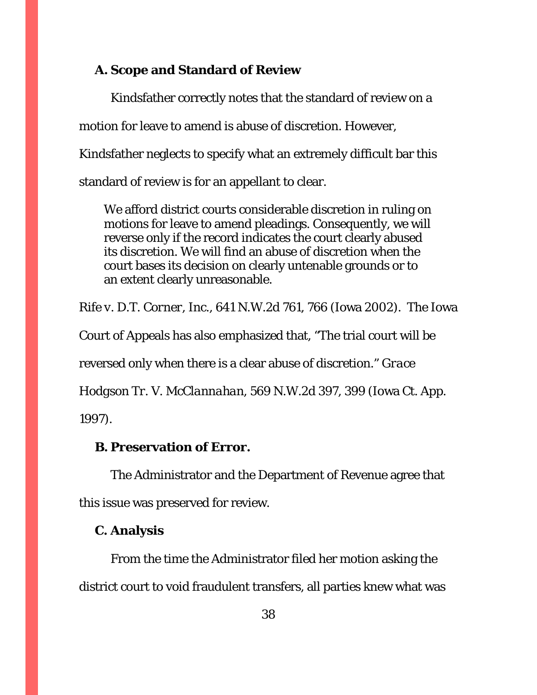# **A. Scope and Standard of Review**

Kindsfather correctly notes that the standard of review on a motion for leave to amend is abuse of discretion. However, Kindsfather neglects to specify what an extremely difficult bar this standard of review is for an appellant to clear.

We afford district courts considerable discretion in ruling on motions for leave to amend pleadings. Consequently, we will reverse only if the record indicates the court clearly abused its discretion. We will find an abuse of discretion when the court bases its decision on clearly untenable grounds or to an extent clearly unreasonable.

*Rife v. D.T. Corner, Inc.*, 641 N.W.2d 761, 766 (Iowa 2002). The Iowa

Court of Appeals has also emphasized that, "The trial court will be

reversed only when there is a clear abuse of discretion." *Grace* 

*Hodgson Tr. V. McClannahan*, 569 N.W.2d 397, 399 (Iowa Ct. App.

1997).

# **B. Preservation of Error.**

The Administrator and the Department of Revenue agree that this issue was preserved for review.

#### **C. Analysis**

From the time the Administrator filed her motion asking the district court to void fraudulent transfers, all parties knew what was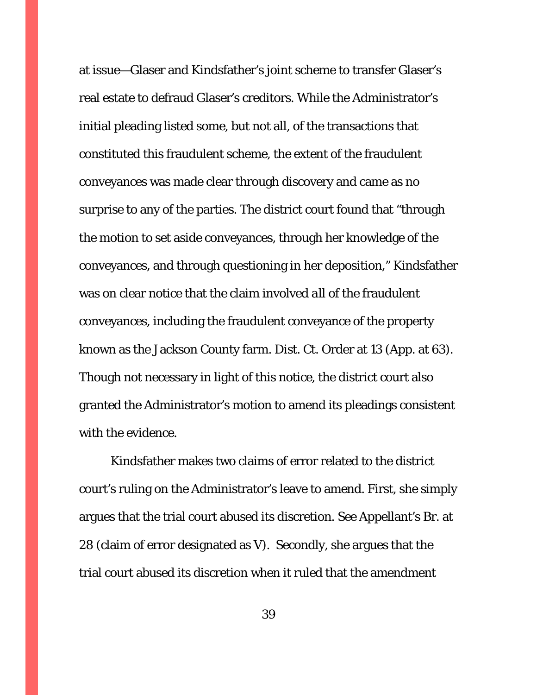at issue—Glaser and Kindsfather's joint scheme to transfer Glaser's real estate to defraud Glaser's creditors. While the Administrator's initial pleading listed some, but not all, of the transactions that constituted this fraudulent scheme, the extent of the fraudulent conveyances was made clear through discovery and came as no surprise to any of the parties. The district court found that "through the motion to set aside conveyances, through her knowledge of the conveyances, and through questioning in her deposition," Kindsfather was on clear notice that the claim involved *all* of the fraudulent conveyances, including the fraudulent conveyance of the property known as the Jackson County farm. Dist. Ct. Order at 13 (App. at 63). Though not necessary in light of this notice, the district court also granted the Administrator's motion to amend its pleadings consistent with the evidence.

Kindsfather makes two claims of error related to the district court's ruling on the Administrator's leave to amend. First, she simply argues that the trial court abused its discretion. *See* Appellant's Br. at 28 (claim of error designated as V). Secondly, she argues that the trial court abused its discretion when it ruled that the amendment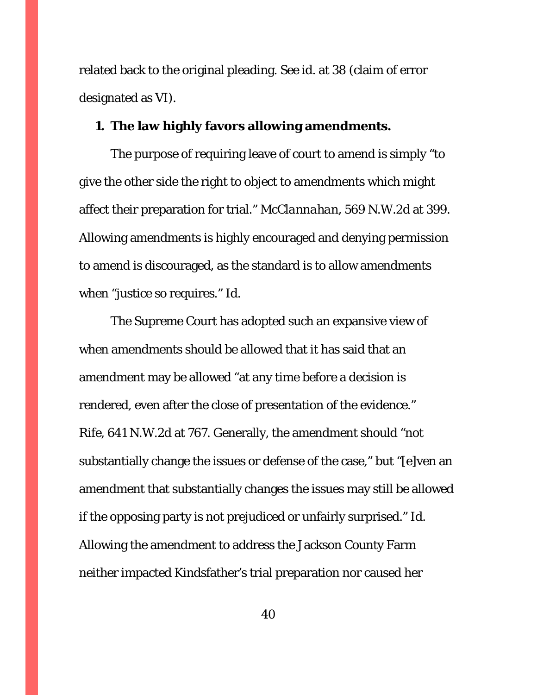related back to the original pleading. *See id.* at 38 (claim of error designated as VI).

### **1. The law highly favors allowing amendments.**

The purpose of requiring leave of court to amend is simply "to give the other side the right to object to amendments which might affect their preparation for trial." *McClannahan*, 569 N.W.2d at 399. Allowing amendments is highly encouraged and denying permission to amend is discouraged, as the standard is to allow amendments when "justice so requires." *Id*.

The Supreme Court has adopted such an expansive view of when amendments should be allowed that it has said that an amendment may be allowed "at any time before a decision is rendered, even after the close of presentation of the evidence." *Rife*, 641 N.W.2d at 767. Generally, the amendment should "not substantially change the issues or defense of the case," but "[e]ven an amendment that substantially changes the issues may still be allowed if the opposing party is not prejudiced or unfairly surprised." *Id.* Allowing the amendment to address the Jackson County Farm neither impacted Kindsfather's trial preparation nor caused her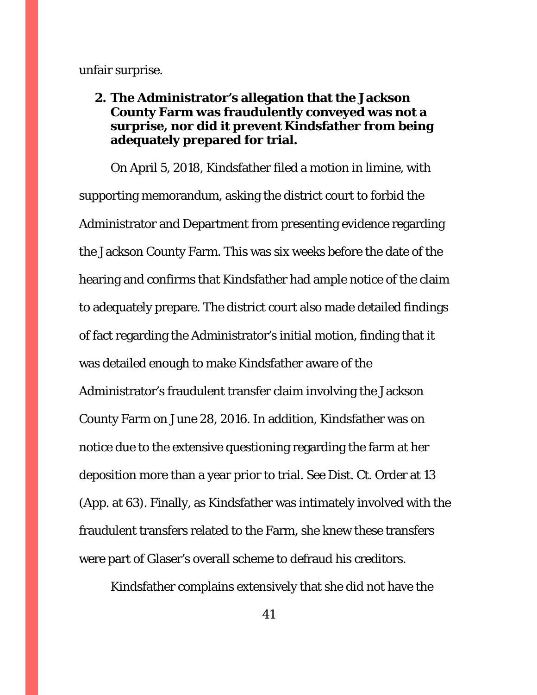unfair surprise.

# **2. The Administrator's allegation that the Jackson County Farm was fraudulently conveyed was not a surprise, nor did it prevent Kindsfather from being adequately prepared for trial.**

On April 5, 2018, Kindsfather filed a motion in limine, with supporting memorandum, asking the district court to forbid the Administrator and Department from presenting evidence regarding the Jackson County Farm. This was six weeks before the date of the hearing and confirms that Kindsfather had ample notice of the claim to adequately prepare. The district court also made detailed findings of fact regarding the Administrator's initial motion, finding that it was detailed enough to make Kindsfather aware of the Administrator's fraudulent transfer claim involving the Jackson County Farm on June 28, 2016. In addition, Kindsfather was on notice due to the extensive questioning regarding the farm at her deposition more than a year prior to trial. *See* Dist. Ct. Order at 13 (App. at 63). Finally, as Kindsfather was intimately involved with the fraudulent transfers related to the Farm, she knew these transfers were part of Glaser's overall scheme to defraud his creditors.

Kindsfather complains extensively that she did not have the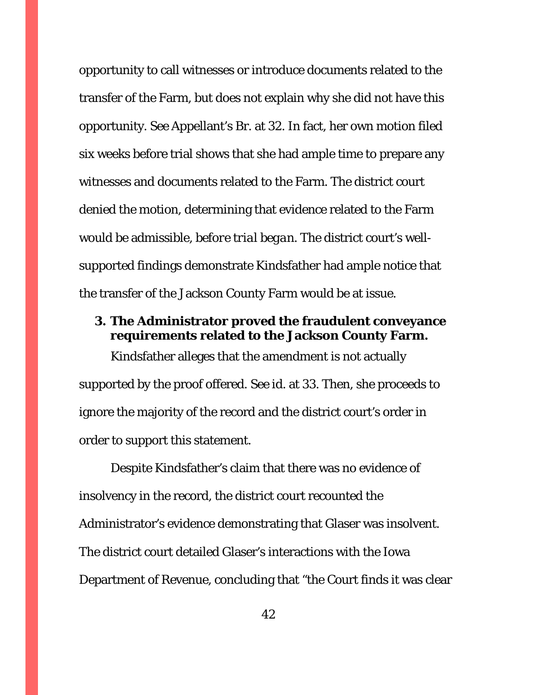opportunity to call witnesses or introduce documents related to the transfer of the Farm, but does not explain why she did not have this opportunity. *See* Appellant's Br. at 32. In fact, her own motion filed six weeks before trial shows that she had ample time to prepare any witnesses and documents related to the Farm. The district court denied the motion, determining that evidence related to the Farm would be admissible, *before trial began*. The district court's wellsupported findings demonstrate Kindsfather had ample notice that the transfer of the Jackson County Farm would be at issue.

# **3. The Administrator proved the fraudulent conveyance requirements related to the Jackson County Farm.**

Kindsfather alleges that the amendment is not actually supported by the proof offered. *See id.* at 33. Then, she proceeds to ignore the majority of the record and the district court's order in order to support this statement.

Despite Kindsfather's claim that there was no evidence of insolvency in the record, the district court recounted the Administrator's evidence demonstrating that Glaser was insolvent. The district court detailed Glaser's interactions with the Iowa Department of Revenue, concluding that "the Court finds it was clear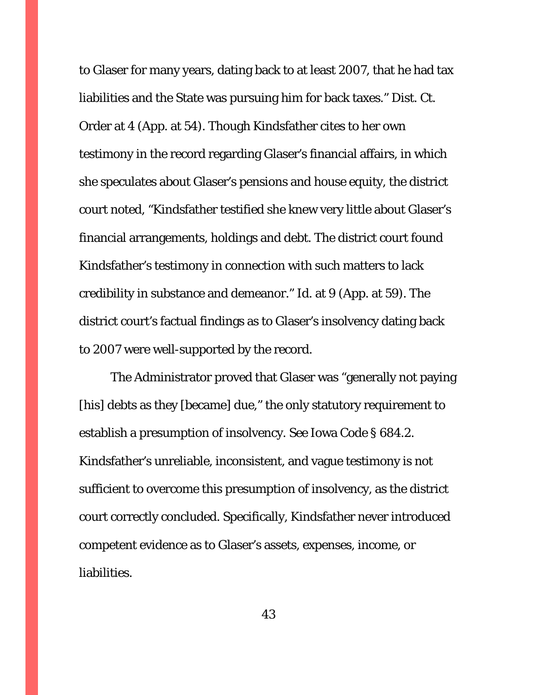to Glaser for many years, dating back to at least 2007, that he had tax liabilities and the State was pursuing him for back taxes." Dist. Ct. Order at 4 (App. at 54). Though Kindsfather cites to her own testimony in the record regarding Glaser's financial affairs, in which she speculates about Glaser's pensions and house equity, the district court noted, "Kindsfather testified she knew very little about Glaser's financial arrangements, holdings and debt. The district court found Kindsfather's testimony in connection with such matters to lack credibility in substance and demeanor." *Id.* at 9 (App. at 59). The district court's factual findings as to Glaser's insolvency dating back to 2007 were well-supported by the record.

The Administrator proved that Glaser was "generally not paying [his] debts as they [became] due," the only statutory requirement to establish a presumption of insolvency. *See* Iowa Code § 684.2. Kindsfather's unreliable, inconsistent, and vague testimony is not sufficient to overcome this presumption of insolvency, as the district court correctly concluded. Specifically, Kindsfather never introduced competent evidence as to Glaser's assets, expenses, income, or liabilities.

43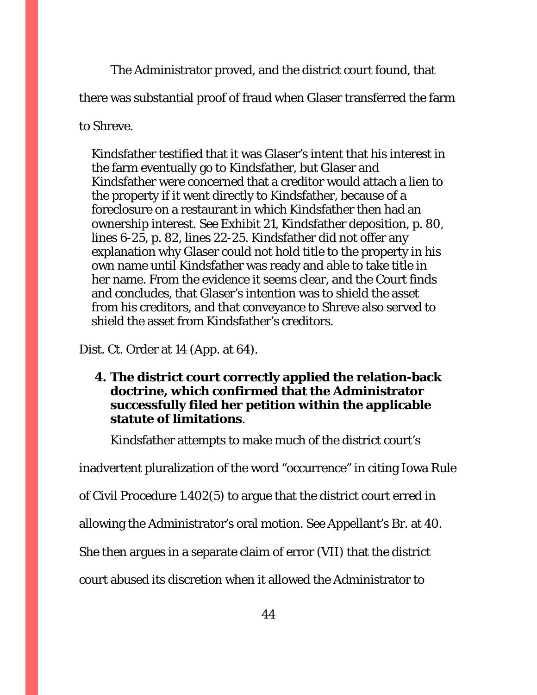The Administrator proved, and the district court found, that

there was substantial proof of fraud when Glaser transferred the farm

to Shreve.

Kindsfather testified that it was Glaser's intent that his interest in the farm eventually go to Kindsfather, but Glaser and Kindsfather were concerned that a creditor would attach a lien to the property if it went directly to Kindsfather, because of a foreclosure on a restaurant in which Kindsfather then had an ownership interest. *See* Exhibit 21, Kindsfather deposition, p. 80, lines 6-25, p. 82, lines 22-25. Kindsfather did not offer any explanation why Glaser could not hold title to the property in his own name until Kindsfather was ready and able to take title in her name. From the evidence it seems clear, and the Court finds and concludes, that Glaser's intention was to shield the asset from *his* creditors, and that conveyance to Shreve also served to shield the asset from Kindsfather's creditors.

Dist. Ct. Order at 14 (App. at 64).

**4. The district court correctly applied the relation-back doctrine, which confirmed that the Administrator successfully filed her petition within the applicable statute of limitations**.

Kindsfather attempts to make much of the district court's

inadvertent pluralization of the word "occurrence" in citing Iowa Rule

of Civil Procedure 1.402(5) to argue that the district court erred in

allowing the Administrator's oral motion. *See* Appellant's Br. at 40.

She then argues in a separate claim of error (VII) that the district

court abused its discretion when it allowed the Administrator to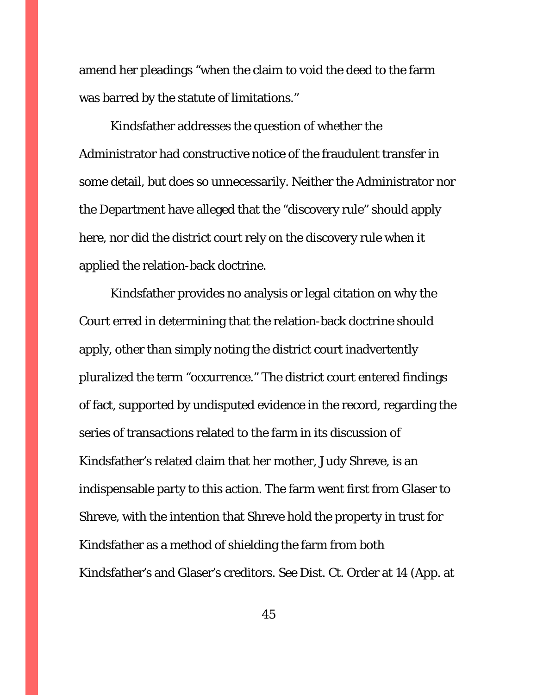amend her pleadings "when the claim to void the deed to the farm was barred by the statute of limitations."

Kindsfather addresses the question of whether the Administrator had constructive notice of the fraudulent transfer in some detail, but does so unnecessarily. Neither the Administrator nor the Department have alleged that the "discovery rule" should apply here, nor did the district court rely on the discovery rule when it applied the relation-back doctrine.

Kindsfather provides no analysis or legal citation on why the Court erred in determining that the relation-back doctrine should apply, other than simply noting the district court inadvertently pluralized the term "occurrence." The district court entered findings of fact, supported by undisputed evidence in the record, regarding the series of transactions related to the farm in its discussion of Kindsfather's related claim that her mother, Judy Shreve, is an indispensable party to this action. The farm went first from Glaser to Shreve, with the intention that Shreve hold the property in trust for Kindsfather as a method of shielding the farm from both Kindsfather's and Glaser's creditors. *See* Dist. Ct. Order at 14 (App. at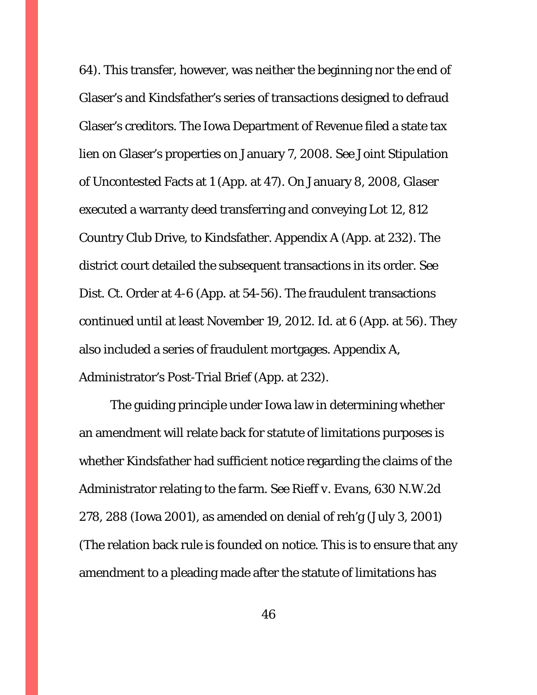64). This transfer, however, was neither the beginning nor the end of Glaser's and Kindsfather's series of transactions designed to defraud Glaser's creditors. The Iowa Department of Revenue filed a state tax lien on Glaser's properties on January 7, 2008. *See* Joint Stipulation of Uncontested Facts at 1 (App. at 47). On January 8, 2008, Glaser executed a warranty deed transferring and conveying Lot 12, 812 Country Club Drive, to Kindsfather. Appendix A (App. at 232). The district court detailed the subsequent transactions in its order. *See* Dist. Ct. Order at 4-6 (App. at 54-56). The fraudulent transactions continued until at least November 19, 2012. *Id.* at 6 (App. at 56). They also included a series of fraudulent mortgages. Appendix A, Administrator's Post-Trial Brief (App. at 232).

The guiding principle under Iowa law in determining whether an amendment will relate back for statute of limitations purposes is whether Kindsfather had sufficient notice regarding the claims of the Administrator relating to the farm. *See Rieff v. Evans*, 630 N.W.2d 278, 288 (Iowa 2001), as amended on denial of reh'g (July 3, 2001) (The relation back rule is founded on notice. This is to ensure that any amendment to a pleading made after the statute of limitations has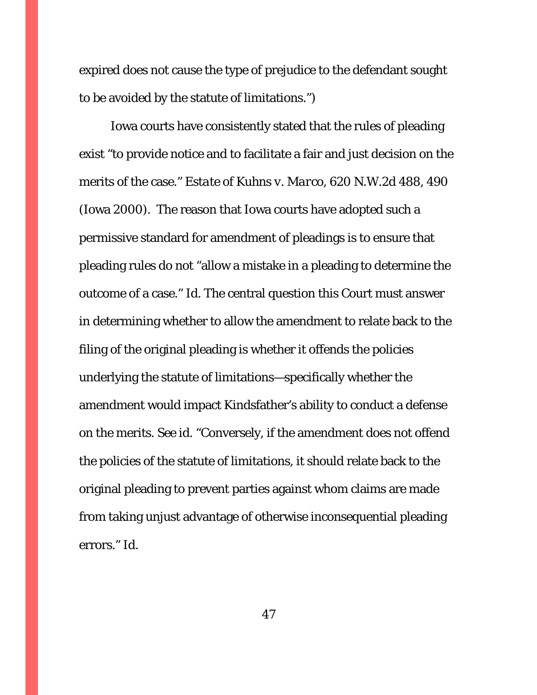expired does not cause the type of prejudice to the defendant sought to be avoided by the statute of limitations.")

Iowa courts have consistently stated that the rules of pleading exist "to provide notice and to facilitate a fair and just decision on the merits of the case." *Estate of Kuhns v. Marco*, 620 N.W.2d 488, 490 (Iowa 2000). The reason that Iowa courts have adopted such a permissive standard for amendment of pleadings is to ensure that pleading rules do not "allow a mistake in a pleading to determine the outcome of a case." *Id*. The central question this Court must answer in determining whether to allow the amendment to relate back to the filing of the original pleading is whether it offends the policies underlying the statute of limitations—specifically whether the amendment would impact Kindsfather's ability to conduct a defense on the merits. *See id*. "Conversely, if the amendment does not offend the policies of the statute of limitations, it should relate back to the original pleading to prevent parties against whom claims are made from taking unjust advantage of otherwise inconsequential pleading errors." *Id*.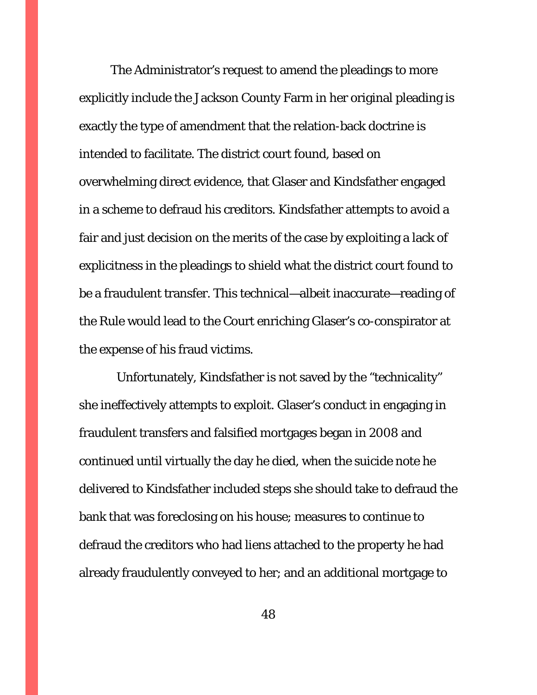The Administrator's request to amend the pleadings to more explicitly include the Jackson County Farm in her original pleading is exactly the type of amendment that the relation-back doctrine is intended to facilitate. The district court found, based on overwhelming direct evidence, that Glaser and Kindsfather engaged in a scheme to defraud his creditors. Kindsfather attempts to avoid a fair and just decision on the merits of the case by exploiting a lack of explicitness in the pleadings to shield what the district court found to be a fraudulent transfer. This technical—albeit inaccurate—reading of the Rule would lead to the Court enriching Glaser's co-conspirator at the expense of his fraud victims.

 Unfortunately, Kindsfather is not saved by the "technicality" she ineffectively attempts to exploit. Glaser's conduct in engaging in fraudulent transfers and falsified mortgages began in 2008 and continued until virtually the day he died, when the suicide note he delivered to Kindsfather included steps she should take to defraud the bank that was foreclosing on his house; measures to continue to defraud the creditors who had liens attached to the property he had already fraudulently conveyed to her; and an additional mortgage to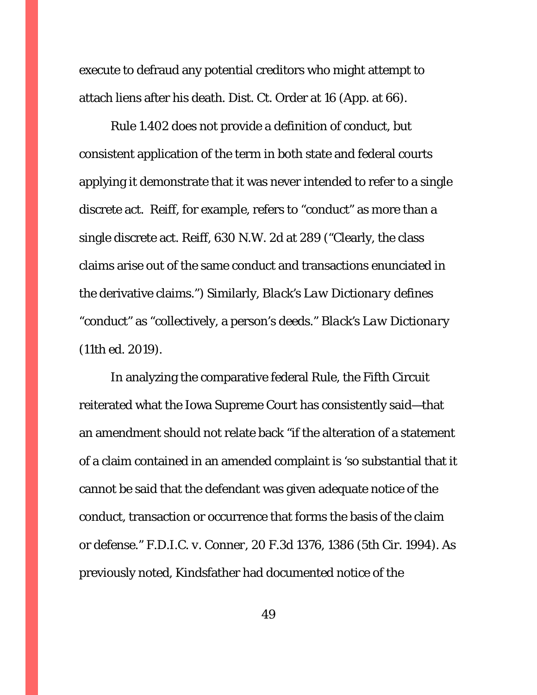execute to defraud any potential creditors who might attempt to attach liens after his death. Dist. Ct. Order at 16 (App. at 66).

Rule 1.402 does not provide a definition of conduct, but consistent application of the term in both state and federal courts applying it demonstrate that it was never intended to refer to a single discrete act. *Reiff*, for example, refers to "conduct" as more than a single discrete act. *Reiff*, 630 N.W. 2d at 289 ("Clearly, the class claims arise out of the same conduct and transactions enunciated in the derivative claims.") Similarly, *Black's Law Dictionary* defines "conduct" as "collectively, a person's deeds." *Black's Law Dictionary* (11th ed. 2019).

In analyzing the comparative federal Rule, the Fifth Circuit reiterated what the Iowa Supreme Court has consistently said—that an amendment should not relate back "if the alteration of a statement of a claim contained in an amended complaint is 'so substantial that it cannot be said that the defendant was given adequate notice of the conduct, transaction or occurrence that forms the basis of the claim or defense." *F.D.I.C. v. Conner*, 20 F.3d 1376, 1386 (5th Cir. 1994). As previously noted, Kindsfather had documented notice of the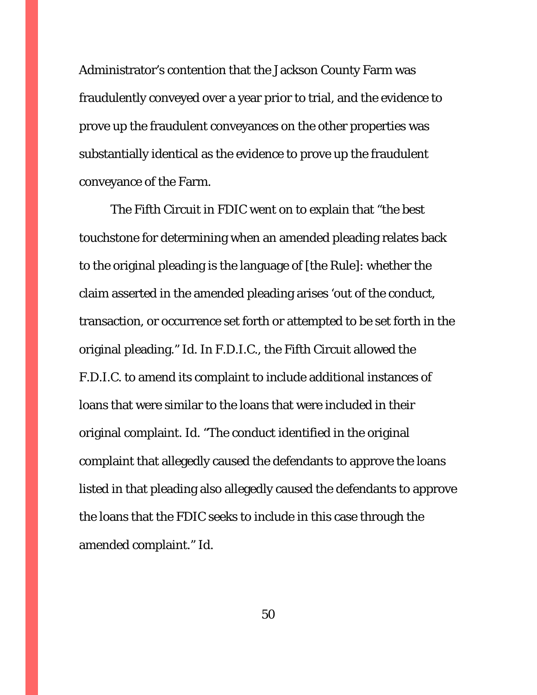Administrator's contention that the Jackson County Farm was fraudulently conveyed over a year prior to trial, and the evidence to prove up the fraudulent conveyances on the other properties was substantially identical as the evidence to prove up the fraudulent conveyance of the Farm.

The Fifth Circuit in *FDIC* went on to explain that "the best touchstone for determining when an amended pleading relates back to the original pleading is the language of [the Rule]: whether the claim asserted in the amended pleading arises 'out of the conduct, transaction, or occurrence set forth or attempted to be set forth in the original pleading." *Id*. In *F.D.I.C.*, the Fifth Circuit allowed the F.D.I.C. to amend its complaint to include additional instances of loans that were similar to the loans that were included in their original complaint. *Id*. "The conduct identified in the original complaint that allegedly caused the defendants to approve the loans listed in that pleading also allegedly caused the defendants to approve the loans that the FDIC seeks to include in this case through the amended complaint." *Id*.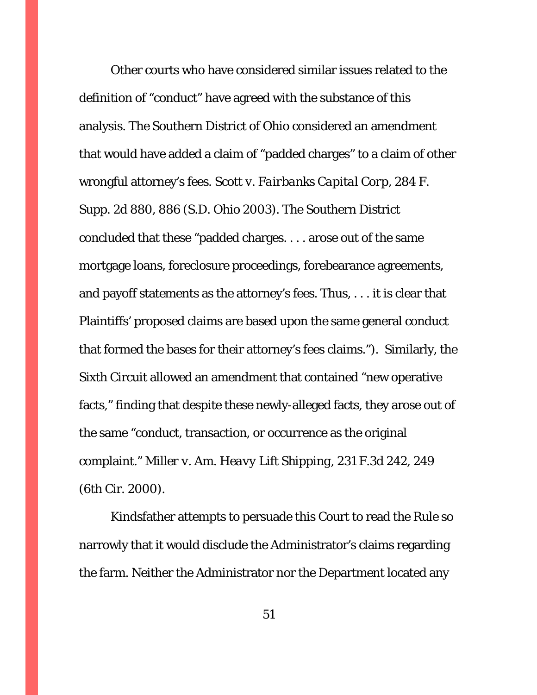Other courts who have considered similar issues related to the definition of "conduct" have agreed with the substance of this analysis. The Southern District of Ohio considered an amendment that would have added a claim of "padded charges" to a claim of other wrongful attorney's fees. *Scott v. Fairbanks Capital Corp*, 284 F. Supp. 2d 880, 886 (S.D. Ohio 2003). The Southern District concluded that these "padded charges. . . . arose out of the same mortgage loans, foreclosure proceedings, forebearance agreements, and payoff statements as the attorney's fees. Thus, . . . it is clear that Plaintiffs' proposed claims are based upon the same general conduct that formed the bases for their attorney's fees claims."). Similarly, the Sixth Circuit allowed an amendment that contained "new operative facts," finding that despite these newly-alleged facts, they arose out of the same "conduct, transaction, or occurrence as the original complaint." *Miller v. Am. Heavy Lift Shipping*, 231 F.3d 242, 249 (6th Cir. 2000).

Kindsfather attempts to persuade this Court to read the Rule so narrowly that it would disclude the Administrator's claims regarding the farm. Neither the Administrator nor the Department located any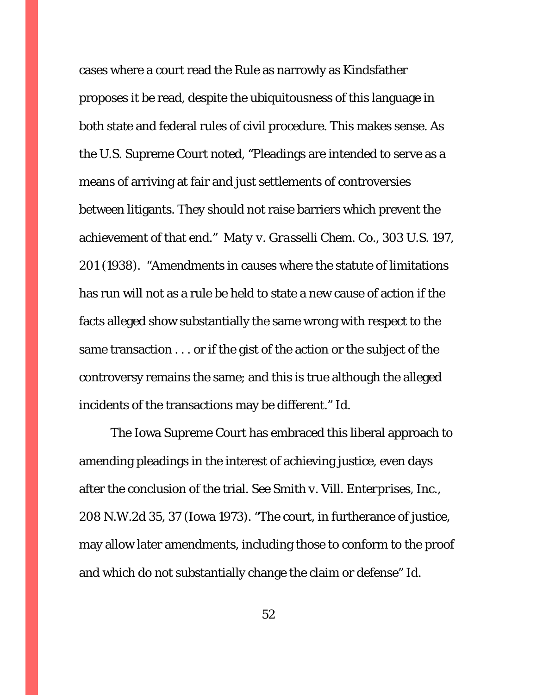cases where a court read the Rule as narrowly as Kindsfather proposes it be read, despite the ubiquitousness of this language in both state and federal rules of civil procedure. This makes sense. As the U.S. Supreme Court noted, "Pleadings are intended to serve as a means of arriving at fair and just settlements of controversies between litigants. They should not raise barriers which prevent the achievement of that end." *Maty v. Grasselli Chem. Co.*, 303 U.S. 197, 201 (1938). "Amendments in causes where the statute of limitations has run will not as a rule be held to state a new cause of action if the facts alleged show substantially the same wrong with respect to the same transaction . . . or if the gist of the action or the subject of the controversy remains the same; and this is true although the alleged incidents of the transactions may be different." *Id*.

The Iowa Supreme Court has embraced this liberal approach to amending pleadings in the interest of achieving justice, even days after the conclusion of the trial. *See Smith v. Vill. Enterprises, Inc.*, 208 N.W.2d 35, 37 (Iowa 1973). "The court, in furtherance of justice, may allow later amendments, including those to conform to the proof and which do not substantially change the claim or defense" *Id*.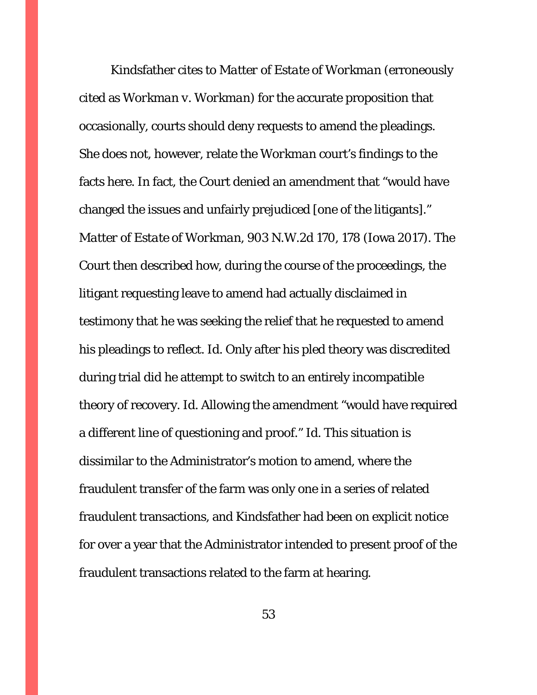Kindsfather cites to *Matter of Estate of Workman* (erroneously cited as *Workman v. Workman*) for the accurate proposition that occasionally, courts should deny requests to amend the pleadings. She does not, however, relate the *Workman* court's findings to the facts here. In fact, the Court denied an amendment that "would have changed the issues and unfairly prejudiced [one of the litigants]." *Matter of Estate of Workman*, 903 N.W.2d 170, 178 (Iowa 2017). The Court then described how, during the course of the proceedings, the litigant requesting leave to amend had actually disclaimed in testimony that he was seeking the relief that he requested to amend his pleadings to reflect. *Id*. Only after his pled theory was discredited during trial did he attempt to switch to an entirely incompatible theory of recovery. *Id*. Allowing the amendment "would have required a different line of questioning and proof." *Id*. This situation is dissimilar to the Administrator's motion to amend, where the fraudulent transfer of the farm was only one in a series of related fraudulent transactions, and Kindsfather had been on explicit notice for over a year that the Administrator intended to present proof of the fraudulent transactions related to the farm at hearing.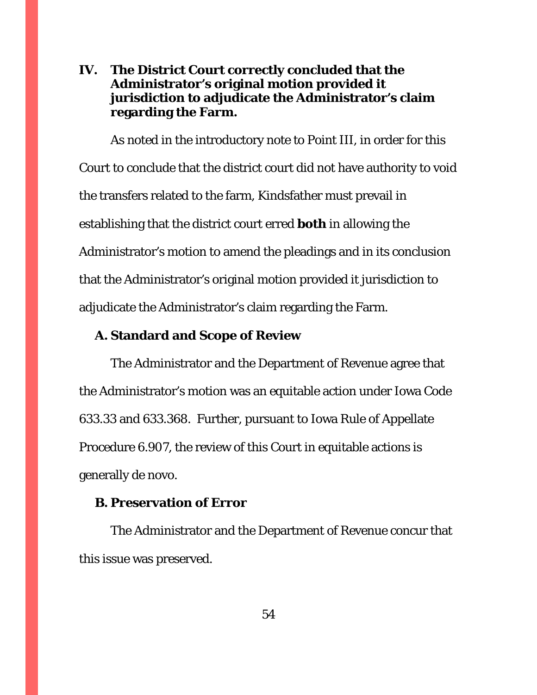# **IV. The District Court correctly concluded that the Administrator's original motion provided it jurisdiction to adjudicate the Administrator's claim regarding the Farm.**

As noted in the introductory note to Point III, in order for this Court to conclude that the district court did not have authority to void the transfers related to the farm, Kindsfather must prevail in establishing that the district court erred **both** in allowing the Administrator's motion to amend the pleadings and in its conclusion that the Administrator's original motion provided it jurisdiction to adjudicate the Administrator's claim regarding the Farm.

### **A. Standard and Scope of Review**

The Administrator and the Department of Revenue agree that the Administrator's motion was an equitable action under Iowa Code 633.33 and 633.368. Further, pursuant to Iowa Rule of Appellate Procedure 6.907, the review of this Court in equitable actions is generally de novo.

# **B. Preservation of Error**

The Administrator and the Department of Revenue concur that this issue was preserved.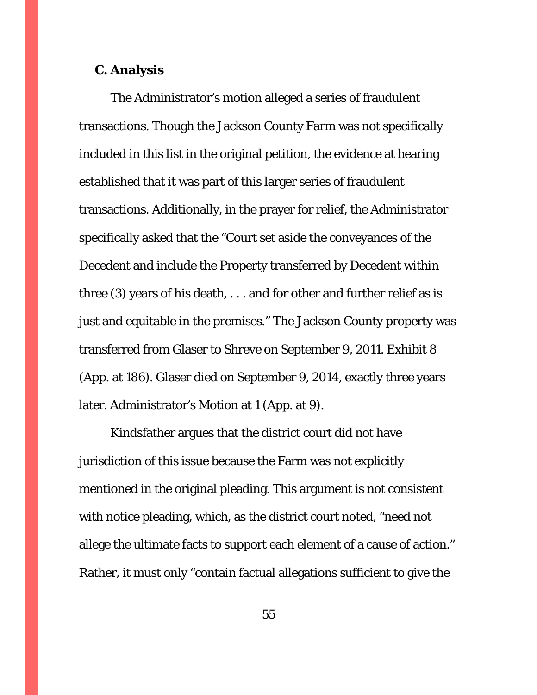#### **C. Analysis**

The Administrator's motion alleged a series of fraudulent transactions. Though the Jackson County Farm was not specifically included in this list in the original petition, the evidence at hearing established that it was part of this larger series of fraudulent transactions. Additionally, in the prayer for relief, the Administrator specifically asked that the "Court set aside the conveyances of the Decedent and include the Property transferred by Decedent within three (3) years of his death, . . . and for other and further relief as is just and equitable in the premises." The Jackson County property was transferred from Glaser to Shreve on September 9, 2011. Exhibit 8 (App. at 186). Glaser died on September 9, 2014, exactly three years later. Administrator's Motion at 1 (App. at 9).

Kindsfather argues that the district court did not have jurisdiction of this issue because the Farm was not explicitly mentioned in the original pleading. This argument is not consistent with notice pleading, which, as the district court noted, "need not allege the ultimate facts to support each element of a cause of action." Rather, it must only "contain factual allegations sufficient to give the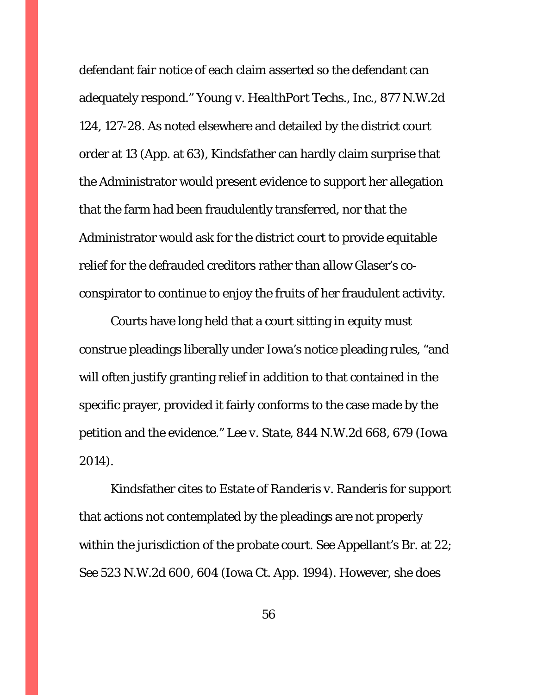defendant fair notice of each claim asserted so the defendant can adequately respond." *Young v. HealthPort Techs., Inc.*, 877 N.W.2d 124, 127-28. As noted elsewhere and detailed by the district court order at 13 (App. at 63), Kindsfather can hardly claim surprise that the Administrator would present evidence to support her allegation that the farm had been fraudulently transferred, nor that the Administrator would ask for the district court to provide equitable relief for the defrauded creditors rather than allow Glaser's coconspirator to continue to enjoy the fruits of her fraudulent activity.

 Courts have long held that a court sitting in equity must construe pleadings liberally under Iowa's notice pleading rules, "and will often justify granting relief in addition to that contained in the specific prayer, provided it fairly conforms to the case made by the petition and the evidence." *Lee v. State*, 844 N.W.2d 668, 679 (Iowa 2014).

 Kindsfather cites to *Estate of Randeris v. Randeris* for support that actions not contemplated by the pleadings are not properly within the jurisdiction of the probate court. *See* Appellant's Br. at 22; *See* 523 N.W.2d 600, 604 (Iowa Ct. App. 1994). However, she does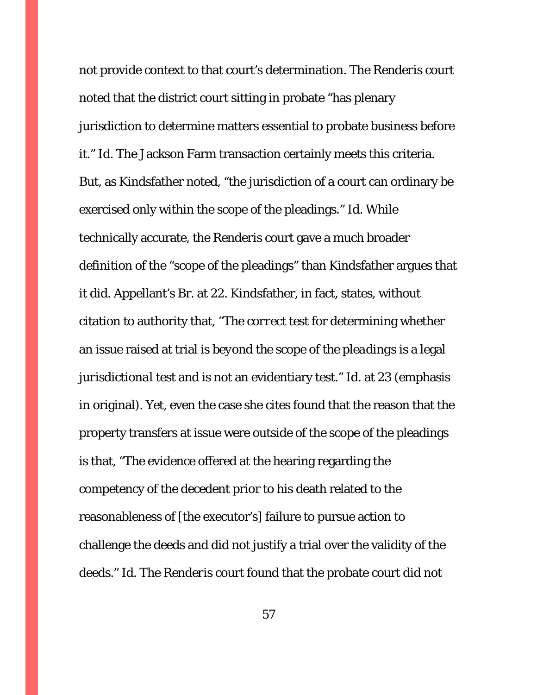not provide context to that court's determination. The *Renderis* court noted that the district court sitting in probate "has plenary jurisdiction to determine matters essential to probate business before it." *Id*. The Jackson Farm transaction certainly meets this criteria. But, as Kindsfather noted, "the jurisdiction of a court can ordinary be exercised only within the scope of the pleadings." *Id*. While technically accurate, the *Renderis* court gave a much broader definition of the "scope of the pleadings" than Kindsfather argues that it did. Appellant's Br. at 22. Kindsfather, in fact, states, without citation to authority that, "The *correct test* for determining whether an issue raised at trial is *beyond the scope of the pleadings* is a legal *jurisdictional* test and is not an evidentiary test." *Id.* at 23 (emphasis in original). Yet, even the case she cites found that the reason that the property transfers at issue were outside of the scope of the pleadings is that, "The evidence offered at the hearing regarding the competency of the decedent prior to his death related to the reasonableness of [the executor's] failure to pursue action to challenge the deeds and did not justify a trial over the validity of the deeds." *Id*. The *Renderis* court found that the probate court did not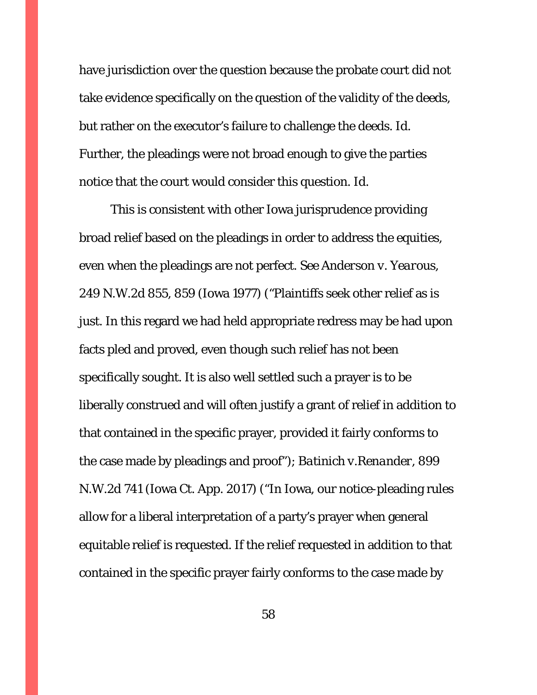have jurisdiction over the question because the probate court did not take evidence specifically on the question of the validity of the deeds, but rather on the executor's failure to challenge the deeds. *Id*. Further, the pleadings were not broad enough to give the parties notice that the court would consider this question. *Id.* 

 This is consistent with other Iowa jurisprudence providing broad relief based on the pleadings in order to address the equities, even when the pleadings are not perfect. *See Anderson v. Yearous*, 249 N.W.2d 855, 859 (Iowa 1977) ("Plaintiffs seek other relief as is just. In this regard we had held appropriate redress may be had upon facts pled and proved, even though such relief has not been specifically sought. It is also well settled such a prayer is to be liberally construed and will often justify a grant of relief in addition to that contained in the specific prayer, provided it fairly conforms to the case made by pleadings and proof"); *Batinich v.Renander*, 899 N.W.2d 741 (Iowa Ct. App. 2017) ("In Iowa, our notice-pleading rules allow for a liberal interpretation of a party's prayer when general equitable relief is requested. If the relief requested in addition to that contained in the specific prayer fairly conforms to the case made by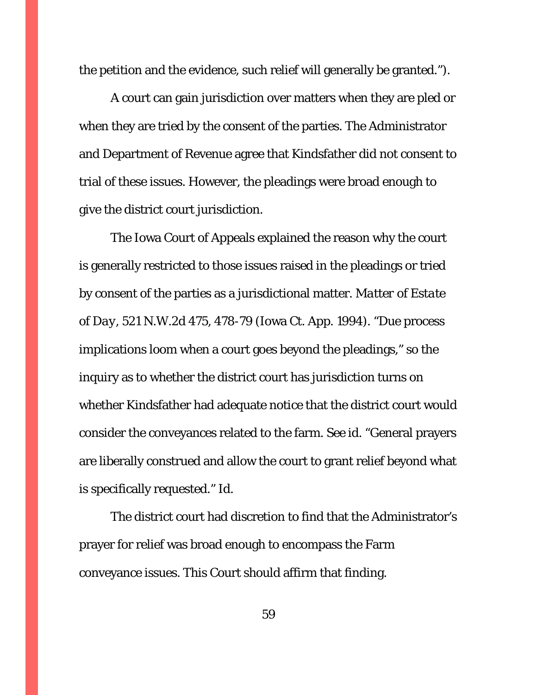the petition and the evidence, such relief will generally be granted.").

 A court can gain jurisdiction over matters when they are pled or when they are tried by the consent of the parties. The Administrator and Department of Revenue agree that Kindsfather did not consent to trial of these issues. However, the pleadings were broad enough to give the district court jurisdiction.

The Iowa Court of Appeals explained the reason why the court is generally restricted to those issues raised in the pleadings or tried by consent of the parties as a jurisdictional matter. *Matter of Estate of Day*, 521 N.W.2d 475, 478-79 (Iowa Ct. App. 1994). "Due process implications loom when a court goes beyond the pleadings," so the inquiry as to whether the district court has jurisdiction turns on whether Kindsfather had adequate notice that the district court would consider the conveyances related to the farm. *See id.* "General prayers are liberally construed and allow the court to grant relief beyond what is specifically requested." *Id*.

 The district court had discretion to find that the Administrator's prayer for relief was broad enough to encompass the Farm conveyance issues. This Court should affirm that finding.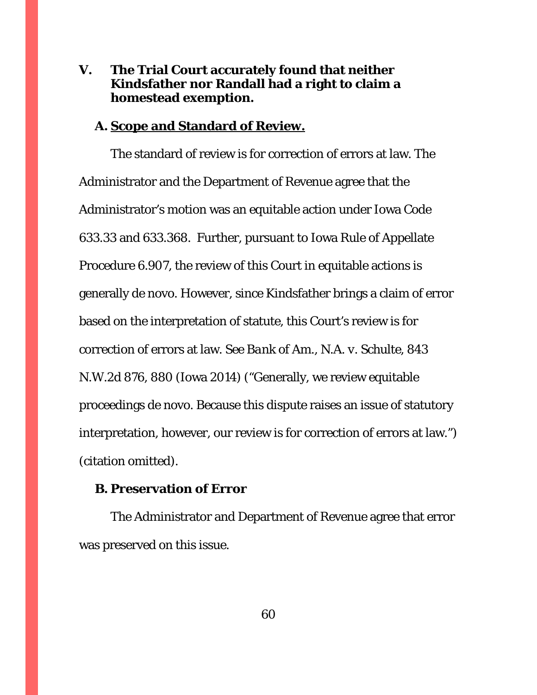# **V. The Trial Court accurately found that neither Kindsfather nor Randall had a right to claim a homestead exemption.**

### **A. Scope and Standard of Review.**

 The standard of review is for correction of errors at law. The Administrator and the Department of Revenue agree that the Administrator's motion was an equitable action under Iowa Code 633.33 and 633.368. Further, pursuant to Iowa Rule of Appellate Procedure 6.907, the review of this Court in equitable actions is generally de novo. However, since Kindsfather brings a claim of error based on the interpretation of statute, this Court's review is for correction of errors at law. *See Bank of Am., N.A. v. Schulte*, 843 N.W.2d 876, 880 (Iowa 2014) ("Generally, we review equitable proceedings de novo. Because this dispute raises an issue of statutory interpretation, however, our review is for correction of errors at law.") (citation omitted).

# **B. Preservation of Error**

 The Administrator and Department of Revenue agree that error was preserved on this issue.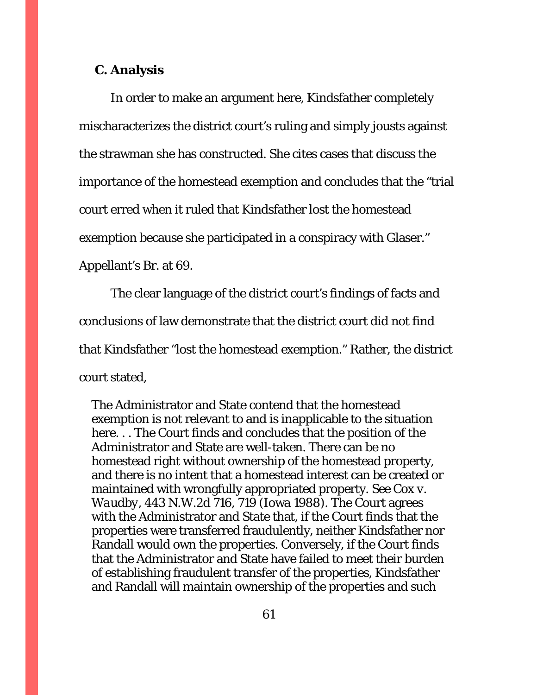## **C. Analysis**

In order to make an argument here, Kindsfather completely mischaracterizes the district court's ruling and simply jousts against the strawman she has constructed. She cites cases that discuss the importance of the homestead exemption and concludes that the "trial court erred when it ruled that Kindsfather lost the homestead exemption because she participated in a conspiracy with Glaser." Appellant's Br. at 69.

 The clear language of the district court's findings of facts and conclusions of law demonstrate that the district court *did not find*  that Kindsfather "lost the homestead exemption." Rather, the district court stated,

The Administrator and State contend that the homestead exemption is not relevant to and is inapplicable to the situation here. . . The Court finds and concludes that the position of the Administrator and State are well-taken. There can be no homestead right without ownership of the homestead property, and there is no intent that a homestead interest can be created or maintained with wrongfully appropriated property. *See Cox v. Waudby*, 443 N.W.2d 716, 719 (Iowa 1988). The Court agrees with the Administrator and State that, if the Court finds that the properties were transferred fraudulently, neither Kindsfather nor Randall would own the properties. Conversely, if the Court finds that the Administrator and State have failed to meet their burden of establishing fraudulent transfer of the properties, Kindsfather and Randall will maintain ownership of the properties and such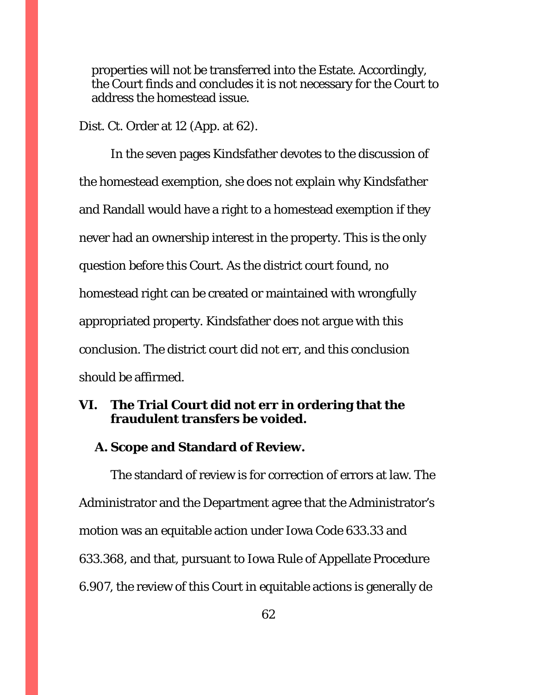properties will not be transferred into the Estate. Accordingly, the Court finds and concludes it is not necessary for the Court to address the homestead issue.

Dist. Ct. Order at 12 (App. at 62).

 In the seven pages Kindsfather devotes to the discussion of the homestead exemption, she does not explain why Kindsfather and Randall would have a right to a homestead exemption if they never had an ownership interest in the property. This is the only question before this Court. As the district court found, no homestead right can be created or maintained with wrongfully appropriated property. Kindsfather does not argue with this conclusion. The district court did not err, and this conclusion should be affirmed.

# **VI. The Trial Court did not err in ordering that the fraudulent transfers be voided.**

# **A. Scope and Standard of Review.**

 The standard of review is for correction of errors at law. The Administrator and the Department agree that the Administrator's motion was an equitable action under Iowa Code 633.33 and 633.368, and that, pursuant to Iowa Rule of Appellate Procedure 6.907, the review of this Court in equitable actions is generally de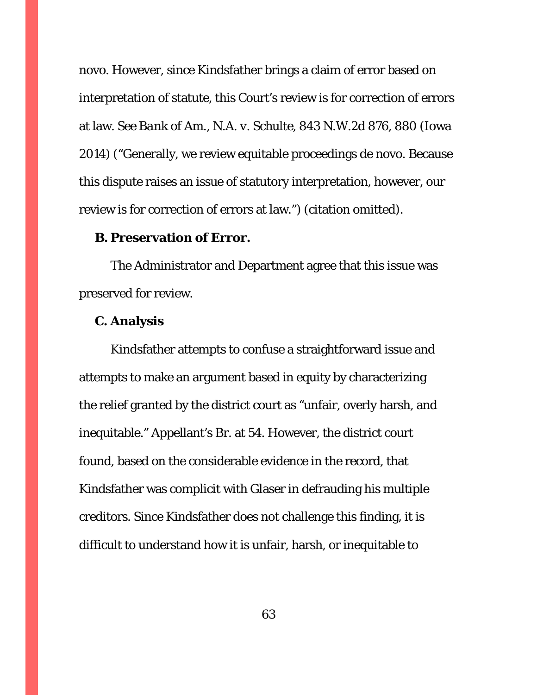novo. However, since Kindsfather brings a claim of error based on interpretation of statute, this Court's review is for correction of errors at law. *See Bank of Am., N.A. v. Schulte*, 843 N.W.2d 876, 880 (Iowa 2014) ("Generally, we review equitable proceedings de novo. Because this dispute raises an issue of statutory interpretation, however, our review is for correction of errors at law.") (citation omitted).

## **B. Preservation of Error.**

The Administrator and Department agree that this issue was preserved for review.

# **C. Analysis**

Kindsfather attempts to confuse a straightforward issue and attempts to make an argument based in equity by characterizing the relief granted by the district court as "unfair, overly harsh, and inequitable." Appellant's Br. at 54. However, the district court found, based on the considerable evidence in the record, that Kindsfather was complicit with Glaser in defrauding his multiple creditors. Since Kindsfather does not challenge this finding, it is difficult to understand how it is unfair, harsh, or inequitable to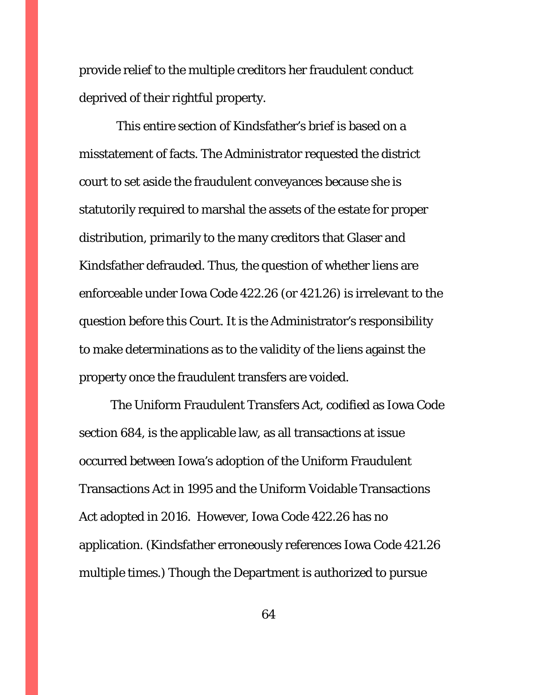provide relief to the multiple creditors her fraudulent conduct deprived of their rightful property.

 This entire section of Kindsfather's brief is based on a misstatement of facts. The Administrator requested the district court to set aside the fraudulent conveyances because she is statutorily required to marshal the assets of the estate for proper distribution, primarily to the many creditors that Glaser and Kindsfather defrauded. Thus, the question of whether liens are enforceable under Iowa Code 422.26 (or 421.26) is irrelevant to the question before this Court. It is the Administrator's responsibility to make determinations as to the validity of the liens against the property once the fraudulent transfers are voided.

The Uniform Fraudulent Transfers Act, codified as Iowa Code section 684, is the applicable law, as all transactions at issue occurred between Iowa's adoption of the Uniform Fraudulent Transactions Act in 1995 and the Uniform Voidable Transactions Act adopted in 2016. However, Iowa Code 422.26 has no application. (Kindsfather erroneously references Iowa Code 421.26 multiple times.) Though the Department is authorized to pursue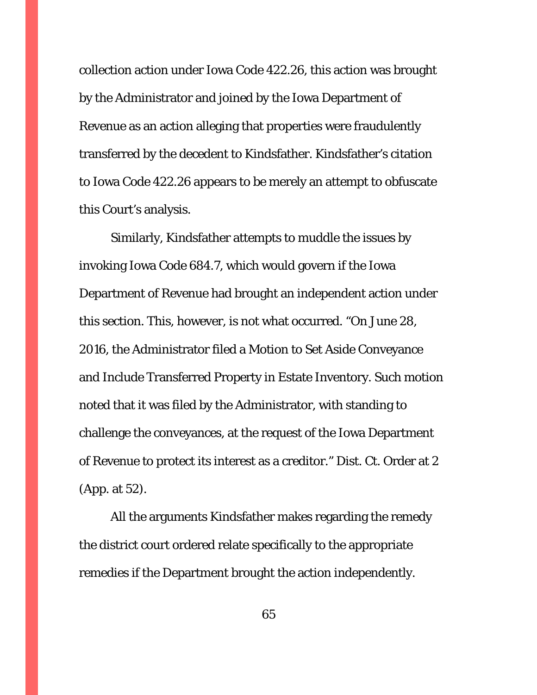collection action under Iowa Code 422.26, this action was brought by the Administrator and joined by the Iowa Department of Revenue as an action alleging that properties were fraudulently transferred by the decedent to Kindsfather. Kindsfather's citation to Iowa Code 422.26 appears to be merely an attempt to obfuscate this Court's analysis.

Similarly, Kindsfather attempts to muddle the issues by invoking Iowa Code 684.7, which would govern if the Iowa Department of Revenue had brought an independent action under this section. This, however, is not what occurred. "On June 28, 2016, the Administrator filed a Motion to Set Aside Conveyance and Include Transferred Property in Estate Inventory. Such motion noted that it was filed by the Administrator, with standing to challenge the conveyances, at the request of the Iowa Department of Revenue to protect its interest as a creditor." Dist. Ct. Order at 2 (App. at 52).

All the arguments Kindsfather makes regarding the remedy the district court ordered relate specifically to the appropriate remedies if the Department brought the action independently.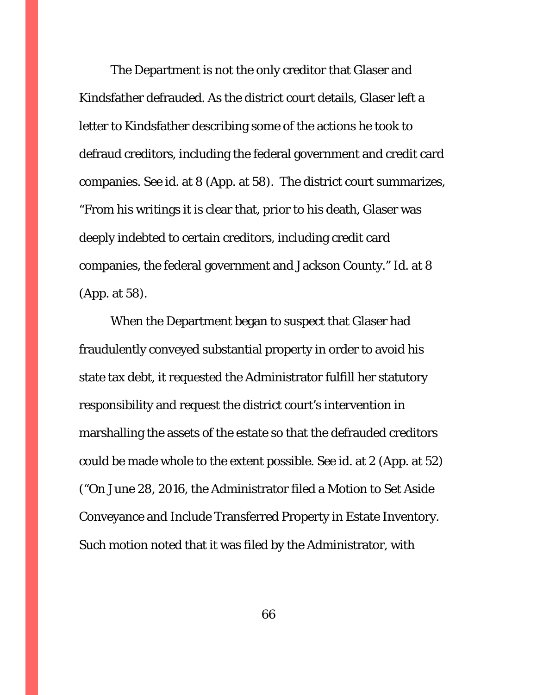The Department is not the only creditor that Glaser and Kindsfather defrauded. As the district court details, Glaser left a letter to Kindsfather describing some of the actions he took to defraud creditors, including the federal government and credit card companies. *See id.* at 8 (App. at 58). The district court summarizes, "From his writings it is clear that, prior to his death, Glaser was deeply indebted to certain creditors, including credit card companies, the federal government and Jackson County." *Id.* at 8 (App. at 58).

When the Department began to suspect that Glaser had fraudulently conveyed substantial property in order to avoid his state tax debt, it requested the Administrator fulfill her statutory responsibility and request the district court's intervention in marshalling the assets of the estate so that the defrauded creditors could be made whole to the extent possible. *See* id. at 2 (App. at 52) ("On June 28, 2016, the Administrator filed a Motion to Set Aside Conveyance and Include Transferred Property in Estate Inventory. Such motion noted that it was filed by the Administrator, with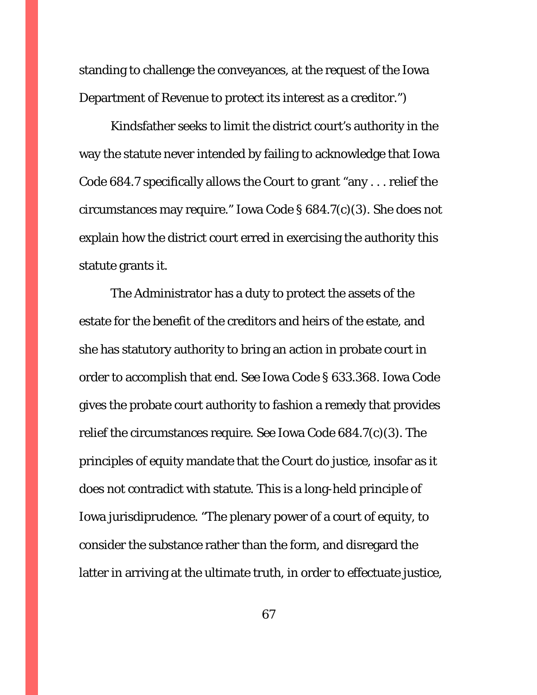standing to challenge the conveyances, at the request of the Iowa Department of Revenue to protect its interest as a creditor.")

Kindsfather seeks to limit the district court's authority in the way the statute never intended by failing to acknowledge that Iowa Code 684.7 specifically allows the Court to grant "any . . . relief the circumstances may require." Iowa Code § 684.7(c)(3). She does not explain how the district court erred in exercising the authority this statute grants it.

The Administrator has a duty to protect the assets of the estate for the benefit of the creditors and heirs of the estate, and she has statutory authority to bring an action in probate court in order to accomplish that end. *See* Iowa Code § 633.368. Iowa Code gives the probate court authority to fashion a remedy that provides relief the circumstances require. *See* Iowa Code 684.7(c)(3). The principles of equity mandate that the Court do justice, insofar as it does not contradict with statute. This is a long-held principle of Iowa jurisdiprudence. "The plenary power of a court of equity, to consider the substance rather than the form, and disregard the latter in arriving at the ultimate truth, in order to effectuate justice,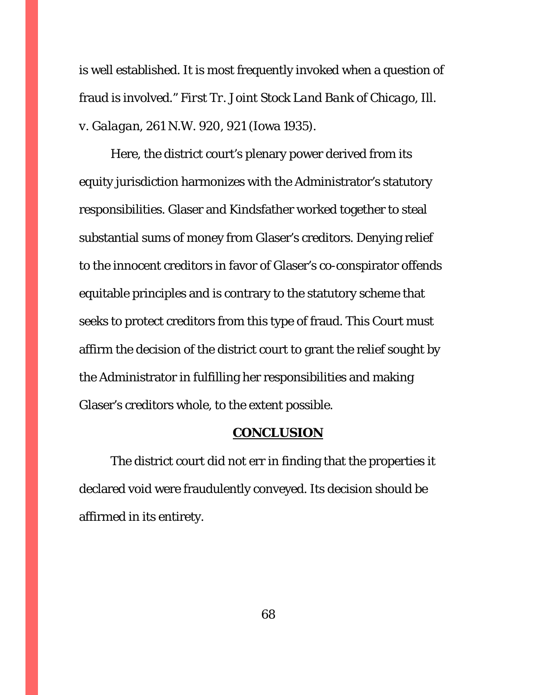is well established. It is most frequently invoked when a question of fraud is involved." *First Tr. Joint Stock Land Bank of Chicago, Ill. v. Galagan*, 261 N.W. 920, 921 (Iowa 1935).

Here, the district court's plenary power derived from its equity jurisdiction harmonizes with the Administrator's statutory responsibilities. Glaser and Kindsfather worked together to steal substantial sums of money from Glaser's creditors. Denying relief to the innocent creditors in favor of Glaser's co-conspirator offends equitable principles and is contrary to the statutory scheme that seeks to protect creditors from this type of fraud. This Court must affirm the decision of the district court to grant the relief sought by the Administrator in fulfilling her responsibilities and making Glaser's creditors whole, to the extent possible.

#### **CONCLUSION**

The district court did not err in finding that the properties it declared void were fraudulently conveyed. Its decision should be affirmed in its entirety.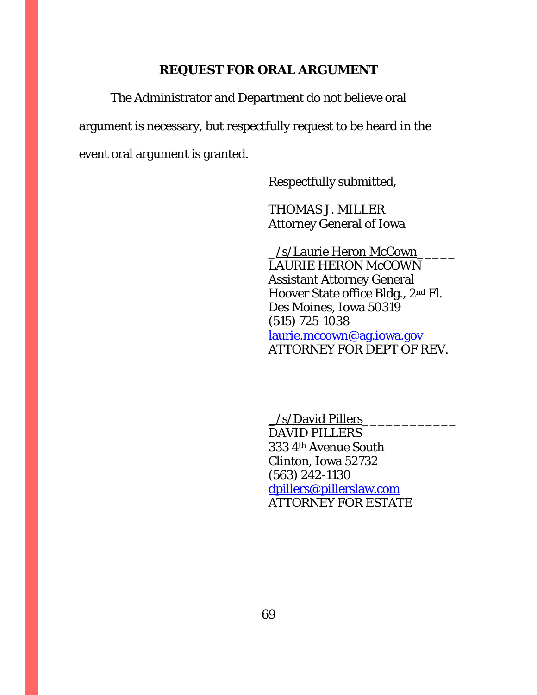#### **REQUEST FOR ORAL ARGUMENT**

The Administrator and Department do not believe oral argument is necessary, but respectfully request to be heard in the event oral argument is granted.

Respectfully submitted,

 THOMAS J. MILLER Attorney General of Iowa

 \_/s/Laurie Heron McCown\_\_\_\_\_ LAURIE HERON McCOWN Assistant Attorney General Hoover State office Bldg., 2nd Fl. Des Moines, Iowa 50319 (515) 725-1038 laurie.mccown@ag.iowa.gov ATTORNEY FOR DEPT OF REV.

 \_/s/David Pillers\_\_\_\_\_\_\_\_\_\_\_\_ DAVID PILLERS 333 4th Avenue South Clinton, Iowa 52732 (563) 242-1130 dpillers@pillerslaw.com ATTORNEY FOR ESTATE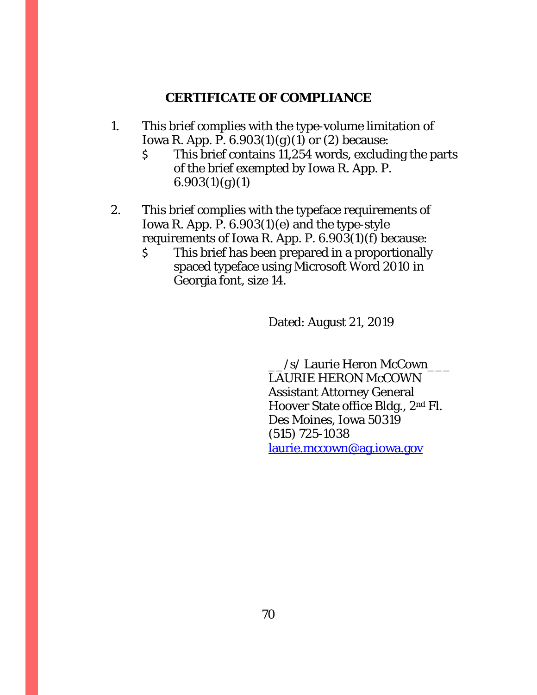# **CERTIFICATE OF COMPLIANCE**

- 1. This brief complies with the type-volume limitation of Iowa R. App. P. 6.903(1)(*g*)(1) or (2) because:
	- \$ This brief contains 11,254 words, excluding the parts of the brief exempted by Iowa R. App. P.  $6.903(1)(g)(1)$
- 2. This brief complies with the typeface requirements of Iowa R. App. P. 6.903(1)(*e*) and the type-style requirements of Iowa R. App. P. 6.903(1)(*f*) because:
	- \$ This brief has been prepared in a proportionally spaced typeface using Microsoft Word 2010 in Georgia font, size 14.

Dated: August 21, 2019

 \_\_/s/ Laurie Heron McCown\_\_\_ LAURIE HERON McCOWN Assistant Attorney General Hoover State office Bldg., 2nd Fl. Des Moines, Iowa 50319 (515) 725-1038 laurie.mccown@ag.iowa.gov